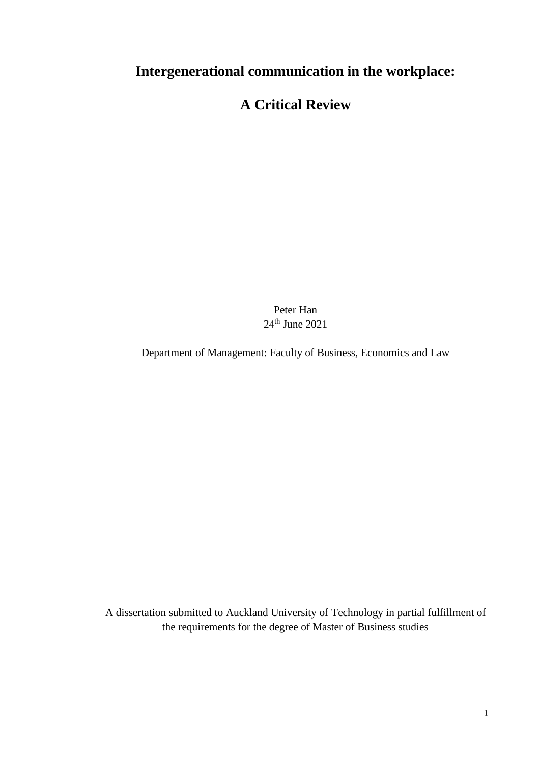# **Intergenerational communication in the workplace:**

# **A Critical Review**

Peter Han  $24<sup>th</sup>$  June  $2021$ 

Department of Management: Faculty of Business, Economics and Law

A dissertation submitted to Auckland University of Technology in partial fulfillment of the requirements for the degree of Master of Business studies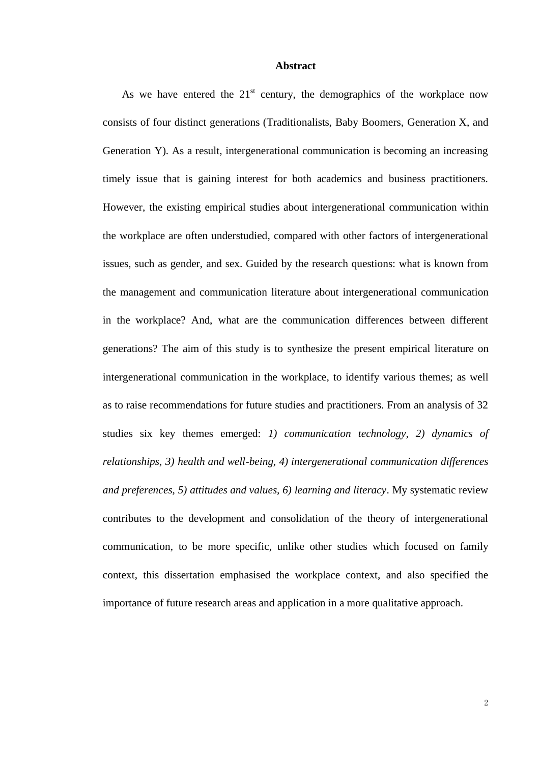#### **Abstract**

<span id="page-1-0"></span>As we have entered the  $21<sup>st</sup>$  century, the demographics of the workplace now consists of four distinct generations (Traditionalists, Baby Boomers, Generation X, and Generation Y). As a result, intergenerational communication is becoming an increasing timely issue that is gaining interest for both academics and business practitioners. However, the existing empirical studies about intergenerational communication within the workplace are often understudied, compared with other factors of intergenerational issues, such as gender, and sex. Guided by the research questions: what is known from the management and communication literature about intergenerational communication in the workplace? And, what are the communication differences between different generations? The aim of this study is to synthesize the present empirical literature on intergenerational communication in the workplace, to identify various themes; as well as to raise recommendations for future studies and practitioners. From an analysis of 32 studies six key themes emerged: *1) communication technology, 2) dynamics of relationships, 3) health and well-being, 4) intergenerational communication differences and preferences, 5) attitudes and values, 6) learning and literacy*. My systematic review contributes to the development and consolidation of the theory of intergenerational communication, to be more specific, unlike other studies which focused on family context, this dissertation emphasised the workplace context, and also specified the importance of future research areas and application in a more qualitative approach.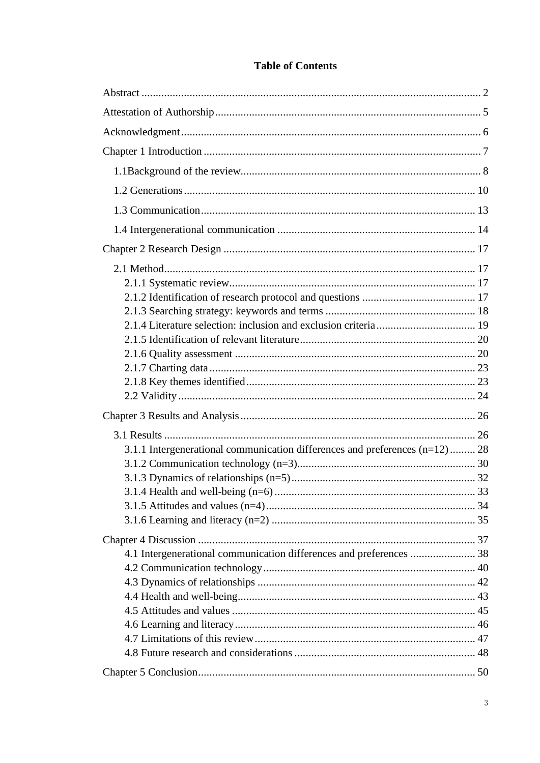| 3.1.1 Intergenerational communication differences and preferences (n=12) 28 |  |
|-----------------------------------------------------------------------------|--|
|                                                                             |  |
|                                                                             |  |
|                                                                             |  |
|                                                                             |  |
|                                                                             |  |
|                                                                             |  |
| 4.1 Intergenerational communication differences and preferences  38         |  |
|                                                                             |  |
|                                                                             |  |
|                                                                             |  |
|                                                                             |  |
|                                                                             |  |
|                                                                             |  |
|                                                                             |  |
|                                                                             |  |

## **Table of Contents**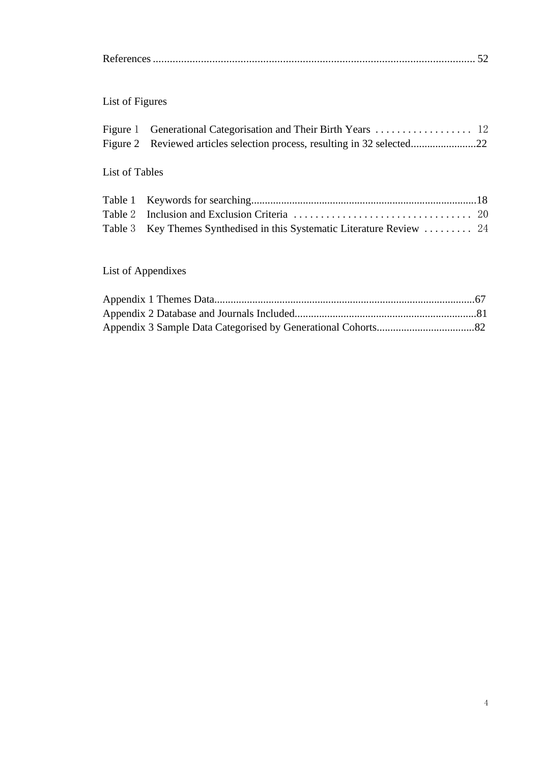# List of Figures

## List of Tables

| Table 3 Key Themes Synthedised in this Systematic Literature Review  24 |  |
|-------------------------------------------------------------------------|--|

# List of Appendixes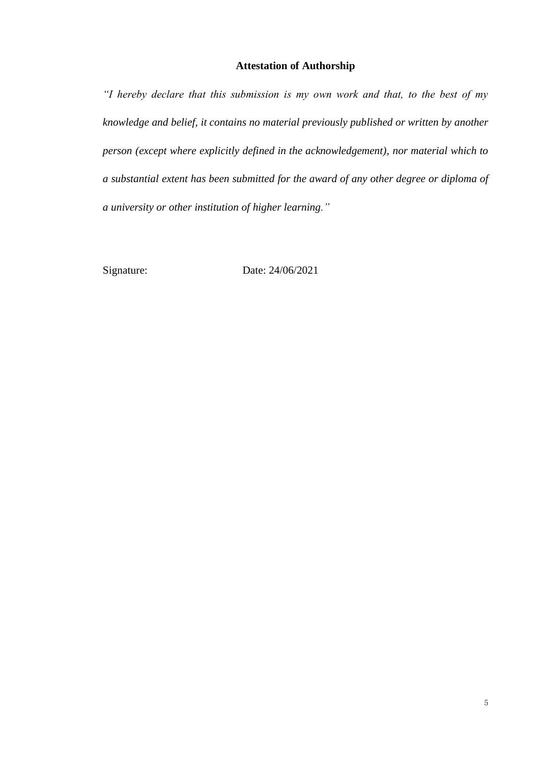## **Attestation of Authorship**

<span id="page-4-0"></span>*"I hereby declare that this submission is my own work and that, to the best of my knowledge and belief, it contains no material previously published or written by another person (except where explicitly defined in the acknowledgement), nor material which to a substantial extent has been submitted for the award of any other degree or diploma of a university or other institution of higher learning."*

Signature: Date: 24/06/2021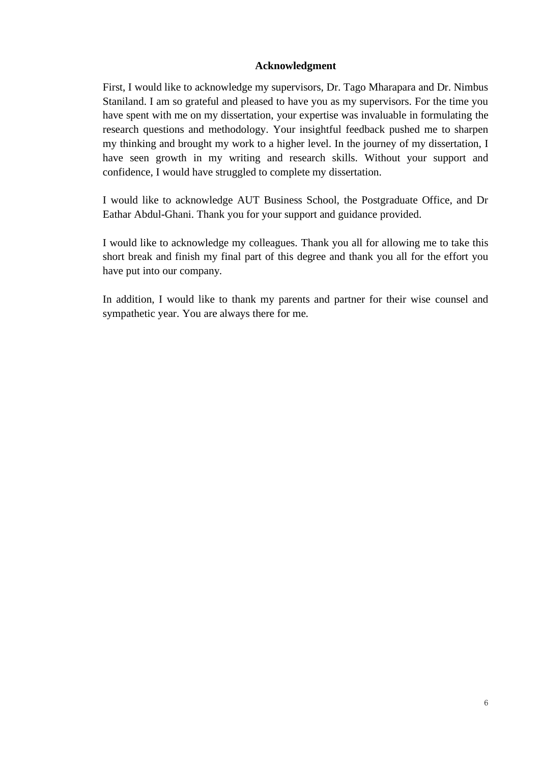## **Acknowledgment**

<span id="page-5-0"></span>First, I would like to acknowledge my supervisors, Dr. Tago Mharapara and Dr. Nimbus Staniland. I am so grateful and pleased to have you as my supervisors. For the time you have spent with me on my dissertation, your expertise was invaluable in formulating the research questions and methodology. Your insightful feedback pushed me to sharpen my thinking and brought my work to a higher level. In the journey of my dissertation, I have seen growth in my writing and research skills. Without your support and confidence, I would have struggled to complete my dissertation.

I would like to acknowledge AUT Business School, the Postgraduate Office, and Dr Eathar Abdul-Ghani. Thank you for your support and guidance provided.

I would like to acknowledge my colleagues. Thank you all for allowing me to take this short break and finish my final part of this degree and thank you all for the effort you have put into our company.

In addition, I would like to thank my parents and partner for their wise counsel and sympathetic year. You are always there for me.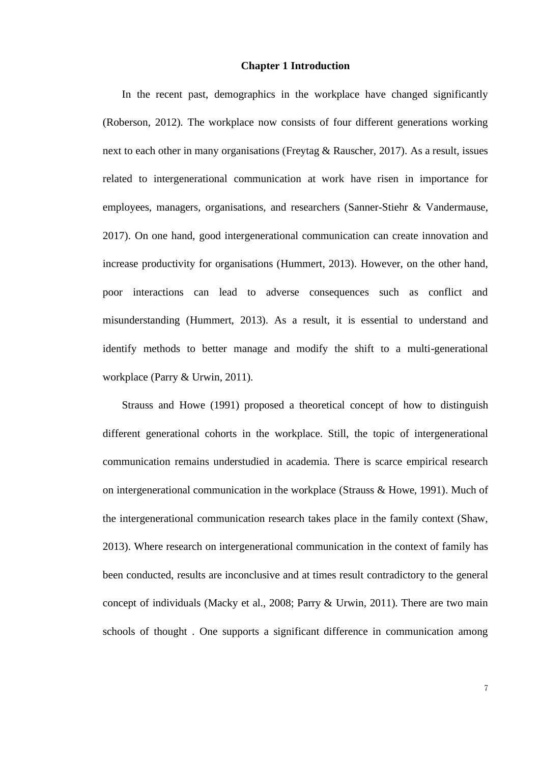## **Chapter 1 Introduction**

<span id="page-6-0"></span>In the recent past, demographics in the workplace have changed significantly (Roberson, 2012). The workplace now consists of four different generations working next to each other in many organisations (Freytag & Rauscher, 2017). As a result, issues related to intergenerational communication at work have risen in importance for employees, managers, organisations, and researchers (Sanner-Stiehr & Vandermause, 2017). On one hand, good intergenerational communication can create innovation and increase productivity for organisations (Hummert, 2013). However, on the other hand, poor interactions can lead to adverse consequences such as conflict and misunderstanding (Hummert, 2013). As a result, it is essential to understand and identify methods to better manage and modify the shift to a multi-generational workplace (Parry & Urwin, 2011).

Strauss and Howe (1991) proposed a theoretical concept of how to distinguish different generational cohorts in the workplace. Still, the topic of intergenerational communication remains understudied in academia. There is scarce empirical research on intergenerational communication in the workplace (Strauss & Howe, 1991). Much of the intergenerational communication research takes place in the family context (Shaw, 2013). Where research on intergenerational communication in the context of family has been conducted, results are inconclusive and at times result contradictory to the general concept of individuals (Macky et al., 2008; Parry & Urwin, 2011). There are two main schools of thought . One supports a significant difference in communication among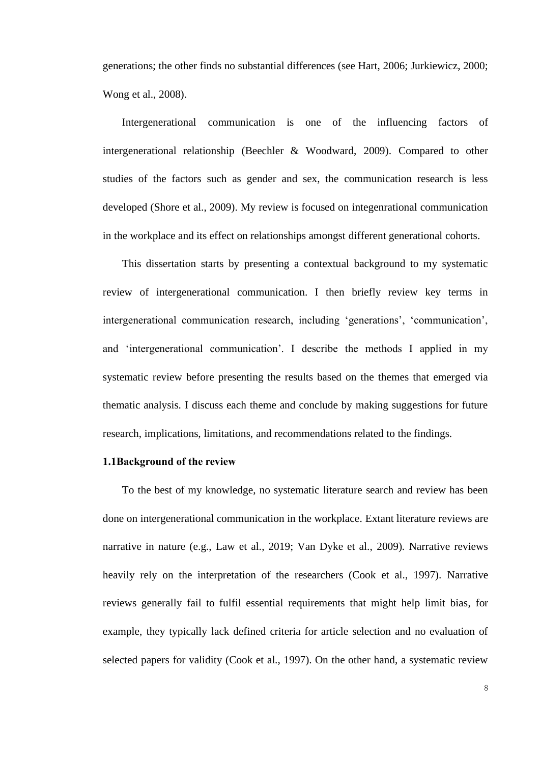generations; the other finds no substantial differences (see Hart, 2006; Jurkiewicz, 2000; Wong et al., 2008).

Intergenerational communication is one of the influencing factors of intergenerational relationship (Beechler & Woodward, 2009). Compared to other studies of the factors such as gender and sex, the communication research is less developed (Shore et al., 2009). My review is focused on integenrational communication in the workplace and its effect on relationships amongst different generational cohorts.

This dissertation starts by presenting a contextual background to my systematic review of intergenerational communication. I then briefly review key terms in intergenerational communication research, including 'generations', 'communication', and 'intergenerational communication'. I describe the methods I applied in my systematic review before presenting the results based on the themes that emerged via thematic analysis. I discuss each theme and conclude by making suggestions for future research, implications, limitations, and recommendations related to the findings.

#### <span id="page-7-0"></span>**1.1Background of the review**

To the best of my knowledge, no systematic literature search and review has been done on intergenerational communication in the workplace. Extant literature reviews are narrative in nature (e.g., Law et al., 2019; Van Dyke et al., 2009). Narrative reviews heavily rely on the interpretation of the researchers (Cook et al., 1997). Narrative reviews generally fail to fulfil essential requirements that might help limit bias, for example, they typically lack defined criteria for article selection and no evaluation of selected papers for validity (Cook et al., 1997). On the other hand, a systematic review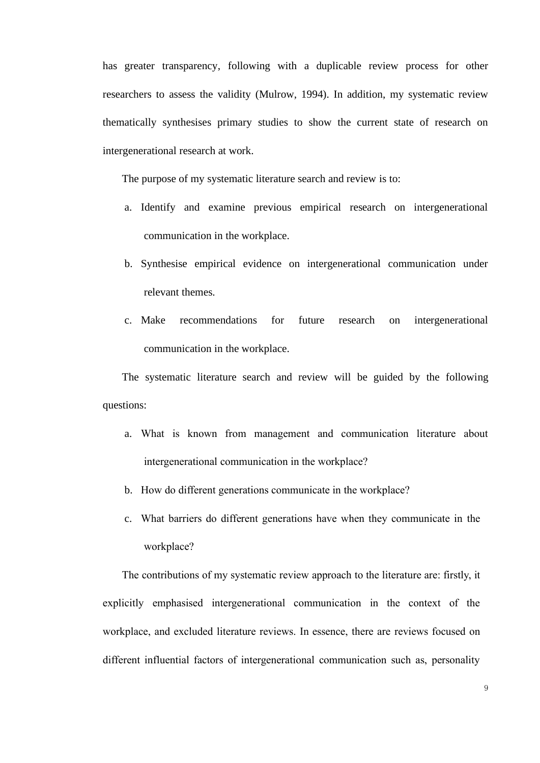has greater transparency, following with a duplicable review process for other researchers to assess the validity (Mulrow, 1994). In addition, my systematic review thematically synthesises primary studies to show the current state of research on intergenerational research at work.

The purpose of my systematic literature search and review is to:

- a. Identify and examine previous empirical research on intergenerational communication in the workplace.
- b. Synthesise empirical evidence on intergenerational communication under relevant themes.
- c. Make recommendations for future research on intergenerational communication in the workplace.

The systematic literature search and review will be guided by the following questions:

- a. What is known from management and communication literature about intergenerational communication in the workplace?
- b. How do different generations communicate in the workplace?
- c. What barriers do different generations have when they communicate in the workplace?

The contributions of my systematic review approach to the literature are: firstly, it explicitly emphasised intergenerational communication in the context of the workplace, and excluded literature reviews. In essence, there are reviews focused on different influential factors of intergenerational communication such as, personality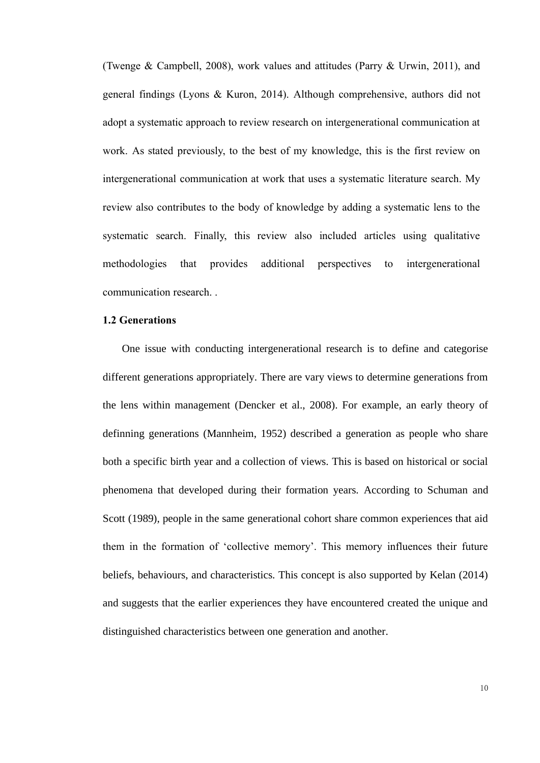(Twenge & Campbell, 2008), work values and attitudes (Parry & Urwin, 2011), and general findings (Lyons & Kuron, 2014). Although comprehensive, authors did not adopt a systematic approach to review research on intergenerational communication at work. As stated previously, to the best of my knowledge, this is the first review on intergenerational communication at work that uses a systematic literature search. My review also contributes to the body of knowledge by adding a systematic lens to the systematic search. Finally, this review also included articles using qualitative methodologies that provides additional perspectives to intergenerational communication research. .

#### <span id="page-9-0"></span>**1.2 Generations**

One issue with conducting intergenerational research is to define and categorise different generations appropriately. There are vary views to determine generations from the lens within management (Dencker et al., 2008). For example, an early theory of definning generations (Mannheim, 1952) described a generation as people who share both a specific birth year and a collection of views. This is based on historical or social phenomena that developed during their formation years. According to Schuman and Scott (1989), people in the same generational cohort share common experiences that aid them in the formation of 'collective memory'. This memory influences their future beliefs, behaviours, and characteristics. This concept is also supported by Kelan (2014) and suggests that the earlier experiences they have encountered created the unique and distinguished characteristics between one generation and another.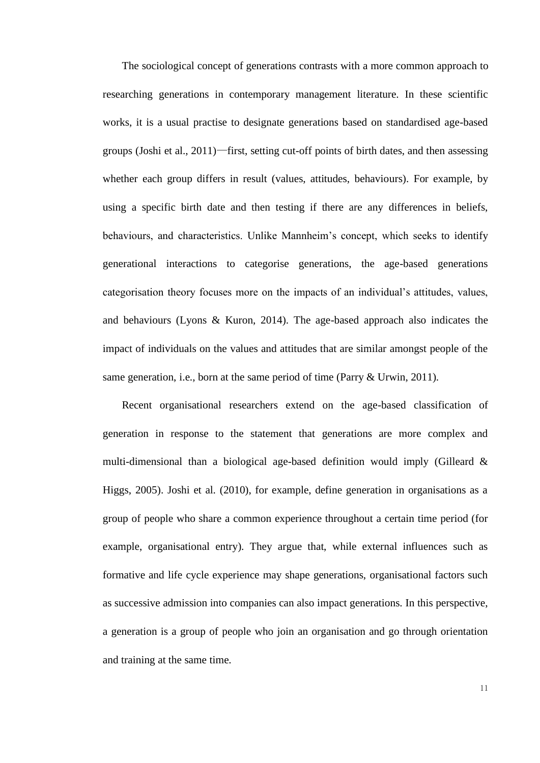The sociological concept of generations contrasts with a more common approach to researching generations in contemporary management literature. In these scientific works, it is a usual practise to designate generations based on standardised age-based groups (Joshi et al., 2011)—first, setting cut-off points of birth dates, and then assessing whether each group differs in result (values, attitudes, behaviours). For example, by using a specific birth date and then testing if there are any differences in beliefs, behaviours, and characteristics. Unlike Mannheim's concept, which seeks to identify generational interactions to categorise generations, the age-based generations categorisation theory focuses more on the impacts of an individual's attitudes, values, and behaviours (Lyons & Kuron, 2014). The age-based approach also indicates the impact of individuals on the values and attitudes that are similar amongst people of the same generation, i.e., born at the same period of time (Parry & Urwin, 2011).

Recent organisational researchers extend on the age-based classification of generation in response to the statement that generations are more complex and multi-dimensional than a biological age-based definition would imply (Gilleard & Higgs, 2005). Joshi et al. (2010), for example, define generation in organisations as a group of people who share a common experience throughout a certain time period (for example, organisational entry). They argue that, while external influences such as formative and life cycle experience may shape generations, organisational factors such as successive admission into companies can also impact generations. In this perspective, a generation is a group of people who join an organisation and go through orientation and training at the same time.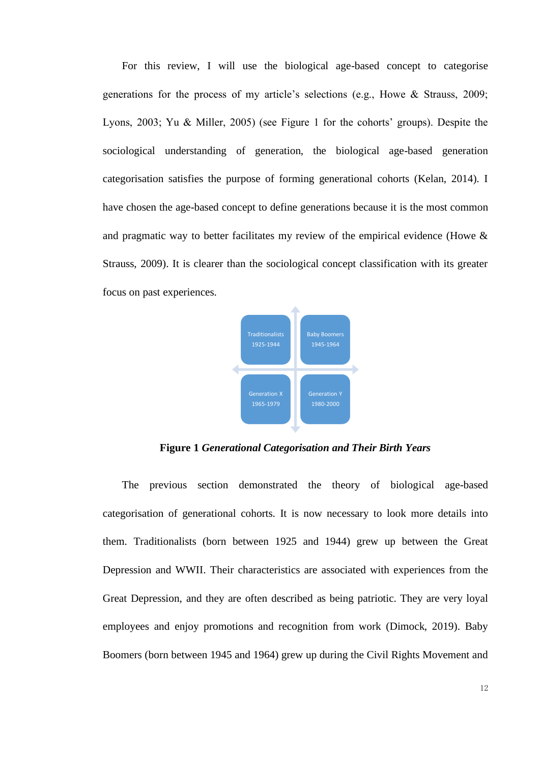For this review, I will use the biological age-based concept to categorise generations for the process of my article's selections (e.g., Howe & Strauss, 2009; Lyons, 2003; Yu & Miller, 2005) (see Figure 1 for the cohorts' groups). Despite the sociological understanding of generation, the biological age-based generation categorisation satisfies the purpose of forming generational cohorts (Kelan, 2014). I have chosen the age-based concept to define generations because it is the most common and pragmatic way to better facilitates my review of the empirical evidence (Howe & Strauss, 2009). It is clearer than the sociological concept classification with its greater focus on past experiences.



<span id="page-11-0"></span>**Figure 1** *Generational Categorisation and Their Birth Years*

The previous section demonstrated the theory of biological age-based categorisation of generational cohorts. It is now necessary to look more details into them. Traditionalists (born between 1925 and 1944) grew up between the Great Depression and WWII. Their characteristics are associated with experiences from the Great Depression, and they are often described as being patriotic. They are very loyal employees and enjoy promotions and recognition from work (Dimock, 2019). Baby Boomers (born between 1945 and 1964) grew up during the Civil Rights Movement and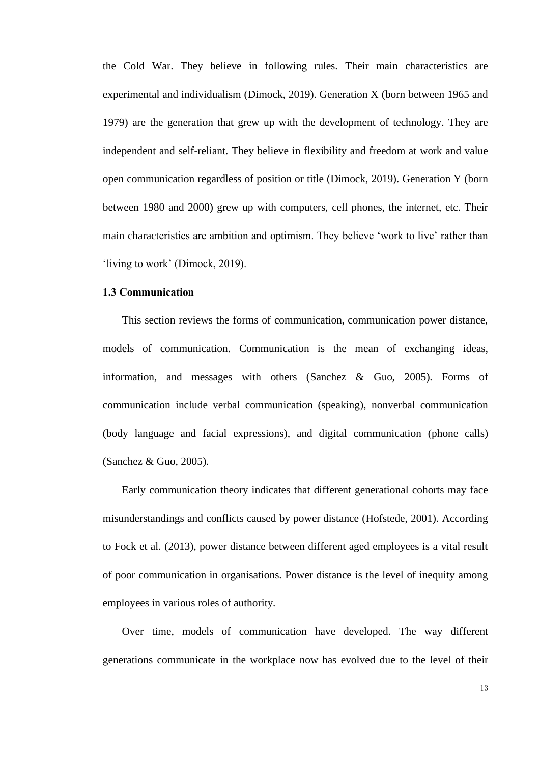the Cold War. They believe in following rules. Their main characteristics are experimental and individualism (Dimock, 2019). Generation X (born between 1965 and 1979) are the generation that grew up with the development of technology. They are independent and self-reliant. They believe in flexibility and freedom at work and value open communication regardless of position or title (Dimock, 2019). Generation Y (born between 1980 and 2000) grew up with computers, cell phones, the internet, etc. Their main characteristics are ambition and optimism. They believe 'work to live' rather than 'living to work' (Dimock, 2019).

## <span id="page-12-0"></span>**1.3 Communication**

This section reviews the forms of communication, communication power distance, models of communication. Communication is the mean of exchanging ideas, information, and messages with others (Sanchez & Guo, 2005). Forms of communication include verbal communication (speaking), nonverbal communication (body language and facial expressions), and digital communication (phone calls) (Sanchez & Guo, 2005).

Early communication theory indicates that different generational cohorts may face misunderstandings and conflicts caused by power distance (Hofstede, 2001). According to Fock et al. (2013), power distance between different aged employees is a vital result of poor communication in organisations. Power distance is the level of inequity among employees in various roles of authority.

Over time, models of communication have developed. The way different generations communicate in the workplace now has evolved due to the level of their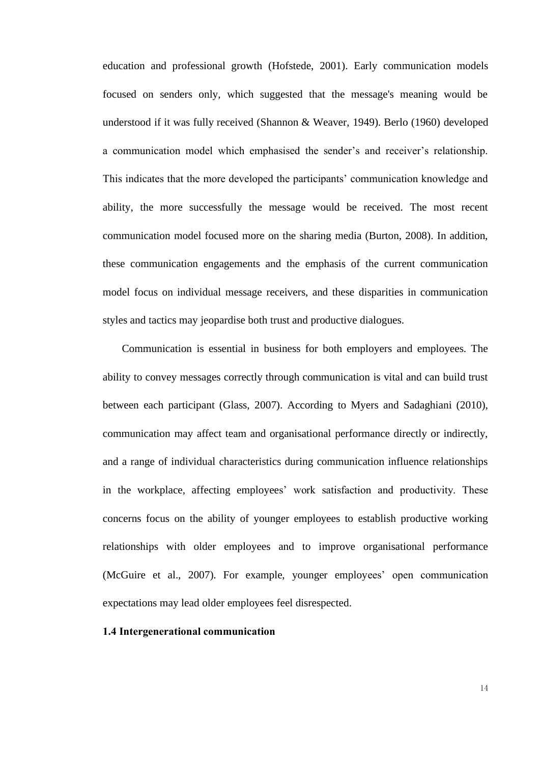education and professional growth (Hofstede, 2001). Early communication models focused on senders only, which suggested that the message's meaning would be understood if it was fully received (Shannon & Weaver, 1949). Berlo (1960) developed a communication model which emphasised the sender's and receiver's relationship. This indicates that the more developed the participants' communication knowledge and ability, the more successfully the message would be received. The most recent communication model focused more on the sharing media (Burton, 2008). In addition, these communication engagements and the emphasis of the current communication model focus on individual message receivers, and these disparities in communication styles and tactics may jeopardise both trust and productive dialogues.

Communication is essential in business for both employers and employees. The ability to convey messages correctly through communication is vital and can build trust between each participant (Glass, 2007). According to Myers and Sadaghiani (2010), communication may affect team and organisational performance directly or indirectly, and a range of individual characteristics during communication influence relationships in the workplace, affecting employees' work satisfaction and productivity. These concerns focus on the ability of younger employees to establish productive working relationships with older employees and to improve organisational performance (McGuire et al., 2007). For example, younger employees' open communication expectations may lead older employees feel disrespected.

## <span id="page-13-0"></span>**1.4 Intergenerational communication**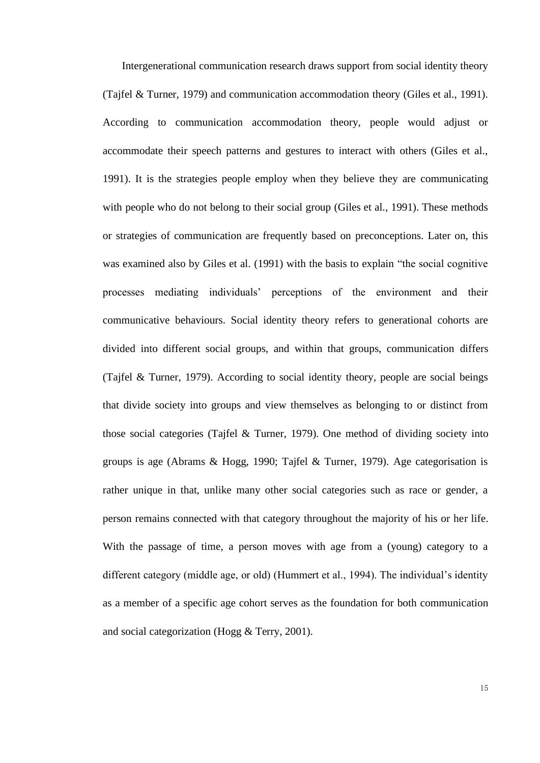Intergenerational communication research draws support from social identity theory (Tajfel & Turner, 1979) and communication accommodation theory (Giles et al., 1991). According to communication accommodation theory, people would adjust or accommodate their speech patterns and gestures to interact with others (Giles et al., 1991). It is the strategies people employ when they believe they are communicating with people who do not belong to their social group (Giles et al., 1991). These methods or strategies of communication are frequently based on preconceptions. Later on, this was examined also by Giles et al. (1991) with the basis to explain "the social cognitive processes mediating individuals' perceptions of the environment and their communicative behaviours. Social identity theory refers to generational cohorts are divided into different social groups, and within that groups, communication differs (Tajfel & Turner, 1979). According to social identity theory, people are social beings that divide society into groups and view themselves as belonging to or distinct from those social categories (Tajfel & Turner, 1979). One method of dividing society into groups is age (Abrams & Hogg, 1990; Tajfel & Turner, 1979). Age categorisation is rather unique in that, unlike many other social categories such as race or gender, a person remains connected with that category throughout the majority of his or her life. With the passage of time, a person moves with age from a (young) category to a different category (middle age, or old) (Hummert et al., 1994). The individual's identity as a member of a specific age cohort serves as the foundation for both communication and social categorization (Hogg & Terry, 2001).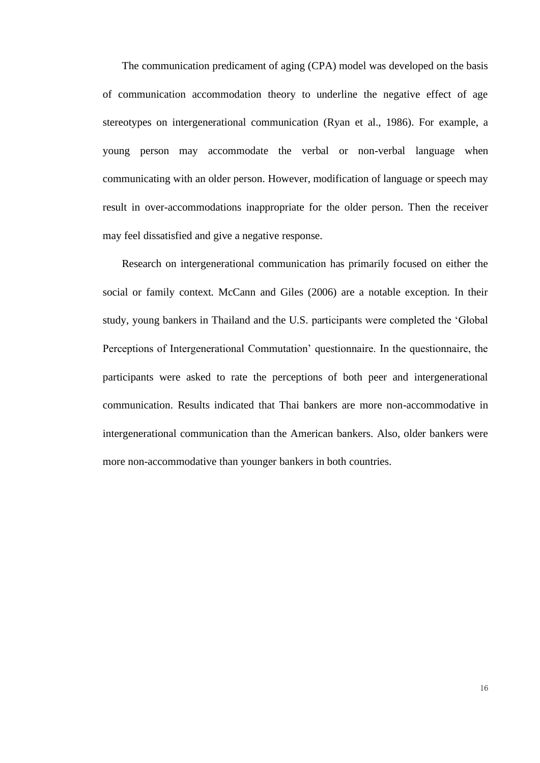The communication predicament of aging (CPA) model was developed on the basis of communication accommodation theory to underline the negative effect of age stereotypes on intergenerational communication (Ryan et al., 1986). For example, a young person may accommodate the verbal or non-verbal language when communicating with an older person. However, modification of language or speech may result in over-accommodations inappropriate for the older person. Then the receiver may feel dissatisfied and give a negative response.

Research on intergenerational communication has primarily focused on either the social or family context. McCann and Giles (2006) are a notable exception. In their study, young bankers in Thailand and the U.S. participants were completed the 'Global Perceptions of Intergenerational Commutation' questionnaire. In the questionnaire, the participants were asked to rate the perceptions of both peer and intergenerational communication. Results indicated that Thai bankers are more non-accommodative in intergenerational communication than the American bankers. Also, older bankers were more non-accommodative than younger bankers in both countries.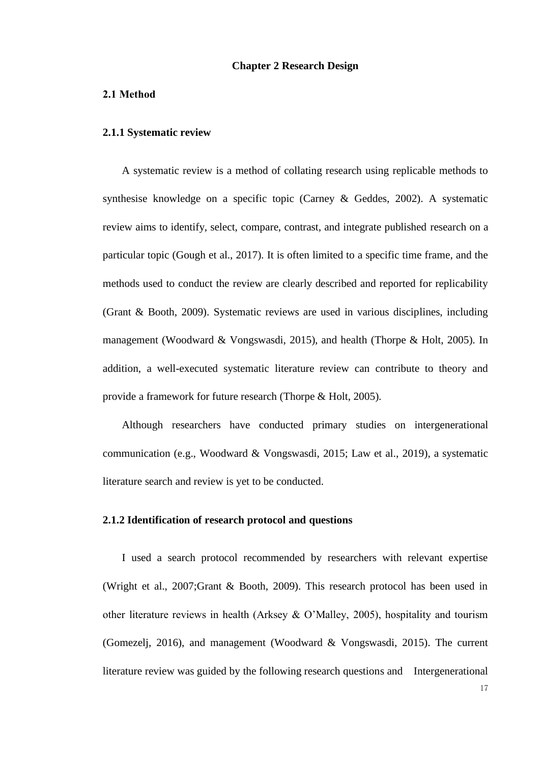#### **Chapter 2 Research Design**

#### <span id="page-16-2"></span><span id="page-16-1"></span><span id="page-16-0"></span>**2.1 Method**

#### **2.1.1 Systematic review**

A systematic review is a method of collating research using replicable methods to synthesise knowledge on a specific topic (Carney & Geddes, 2002). A systematic review aims to identify, select, compare, contrast, and integrate published research on a particular topic (Gough et al., 2017). It is often limited to a specific time frame, and the methods used to conduct the review are clearly described and reported for replicability (Grant & Booth, 2009). Systematic reviews are used in various disciplines, including management (Woodward & Vongswasdi, 2015), and health (Thorpe & Holt, 2005). In addition, a well-executed systematic literature review can contribute to theory and provide a framework for future research (Thorpe & Holt, 2005).

Although researchers have conducted primary studies on intergenerational communication (e.g., Woodward & Vongswasdi, 2015; Law et al., 2019), a systematic literature search and review is yet to be conducted.

#### <span id="page-16-3"></span>**2.1.2 Identification of research protocol and questions**

I used a search protocol recommended by researchers with relevant expertise (Wright et al., 2007;Grant & Booth, 2009). This research protocol has been used in other literature reviews in health (Arksey & O'Malley, 2005), hospitality and tourism (Gomezelj, 2016), and management (Woodward & Vongswasdi, 2015). The current literature review was guided by the following research questions and Intergenerational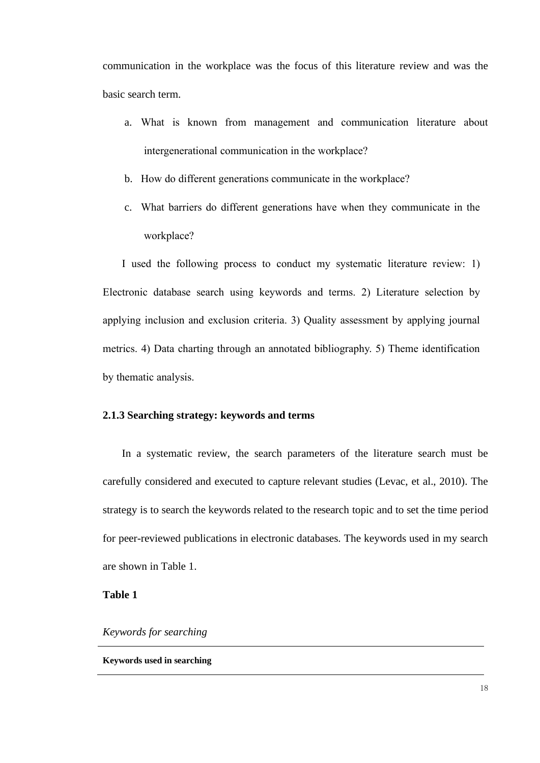communication in the workplace was the focus of this literature review and was the basic search term.

- a. What is known from management and communication literature about intergenerational communication in the workplace?
- b. How do different generations communicate in the workplace?
- c. What barriers do different generations have when they communicate in the workplace?

I used the following process to conduct my systematic literature review: 1) Electronic database search using keywords and terms. 2) Literature selection by applying inclusion and exclusion criteria. 3) Quality assessment by applying journal metrics. 4) Data charting through an annotated bibliography. 5) Theme identification by thematic analysis.

## <span id="page-17-0"></span>**2.1.3 Searching strategy: keywords and terms**

In a systematic review, the search parameters of the literature search must be carefully considered and executed to capture relevant studies (Levac, et al., 2010). The strategy is to search the keywords related to the research topic and to set the time period for peer-reviewed publications in electronic databases. The keywords used in my search are shown in Table 1.

**Table 1** 

*Keywords for searching*

#### **Keywords used in searching**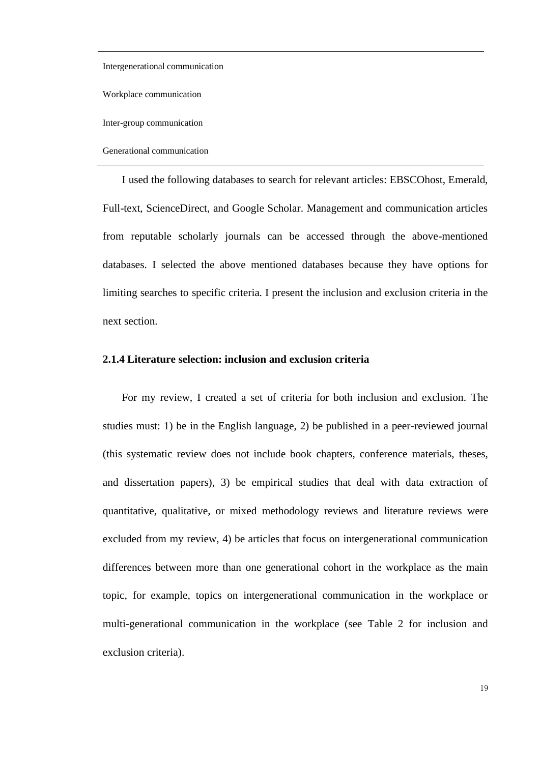Intergenerational communication

Workplace communication

Inter-group communication

Generational communication

I used the following databases to search for relevant articles: EBSCOhost, Emerald, Full-text, ScienceDirect, and Google Scholar. Management and communication articles from reputable scholarly journals can be accessed through the above-mentioned databases. I selected the above mentioned databases because they have options for limiting searches to specific criteria. I present the inclusion and exclusion criteria in the next section.

#### <span id="page-18-0"></span>**2.1.4 Literature selection: inclusion and exclusion criteria**

For my review, I created a set of criteria for both inclusion and exclusion. The studies must: 1) be in the English language, 2) be published in a peer-reviewed journal (this systematic review does not include book chapters, conference materials, theses, and dissertation papers), 3) be empirical studies that deal with data extraction of quantitative, qualitative, or mixed methodology reviews and literature reviews were excluded from my review, 4) be articles that focus on intergenerational communication differences between more than one generational cohort in the workplace as the main topic, for example, topics on intergenerational communication in the workplace or multi-generational communication in the workplace (see Table 2 for inclusion and exclusion criteria).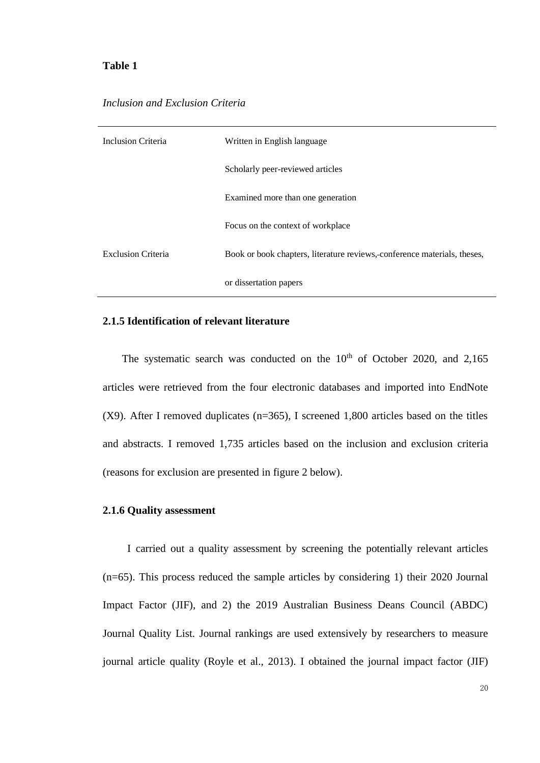## <span id="page-19-2"></span>**Table 1**

### *Inclusion and Exclusion Criteria*

| Inclusion Criteria        | Written in English language                                              |
|---------------------------|--------------------------------------------------------------------------|
|                           | Scholarly peer-reviewed articles                                         |
|                           | Examined more than one generation                                        |
|                           | Focus on the context of workplace                                        |
| <b>Exclusion Criteria</b> | Book or book chapters, literature reviews, conference materials, theses, |
|                           | or dissertation papers                                                   |

#### <span id="page-19-0"></span>**2.1.5 Identification of relevant literature**

The systematic search was conducted on the  $10<sup>th</sup>$  of October 2020, and 2,165 articles were retrieved from the four electronic databases and imported into EndNote (X9). After I removed duplicates (n=365), I screened 1,800 articles based on the titles and abstracts. I removed 1,735 articles based on the inclusion and exclusion criteria (reasons for exclusion are presented in figure 2 below).

### <span id="page-19-1"></span>**2.1.6 Quality assessment**

I carried out a quality assessment by screening the potentially relevant articles (n=65). This process reduced the sample articles by considering 1) their 2020 Journal Impact Factor (JIF), and 2) the 2019 Australian Business Deans Council (ABDC) Journal Quality List. Journal rankings are used extensively by researchers to measure journal article quality (Royle et al., 2013). I obtained the journal impact factor (JIF)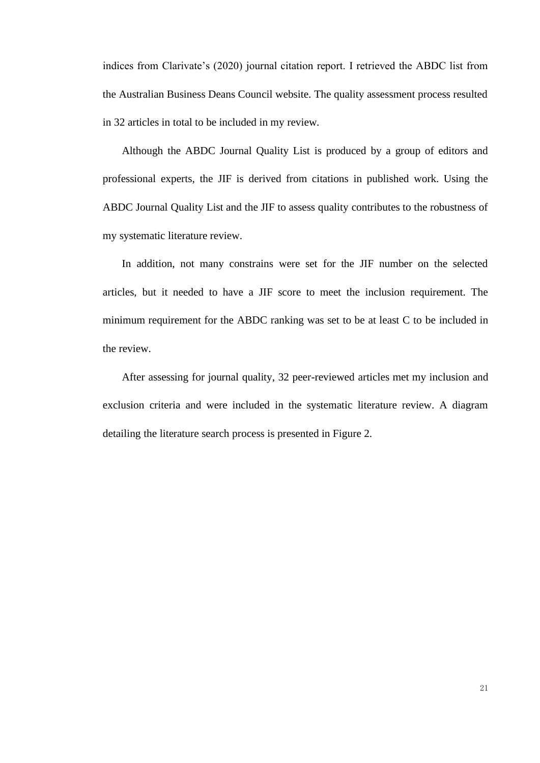indices from Clarivate's (2020) journal citation report. I retrieved the ABDC list from the Australian Business Deans Council website. The quality assessment process resulted in 32 articles in total to be included in my review.

Although the ABDC Journal Quality List is produced by a group of editors and professional experts, the JIF is derived from citations in published work. Using the ABDC Journal Quality List and the JIF to assess quality contributes to the robustness of my systematic literature review.

In addition, not many constrains were set for the JIF number on the selected articles, but it needed to have a JIF score to meet the inclusion requirement. The minimum requirement for the ABDC ranking was set to be at least C to be included in the review.

After assessing for journal quality, 32 peer-reviewed articles met my inclusion and exclusion criteria and were included in the systematic literature review. A diagram detailing the literature search process is presented in Figure 2.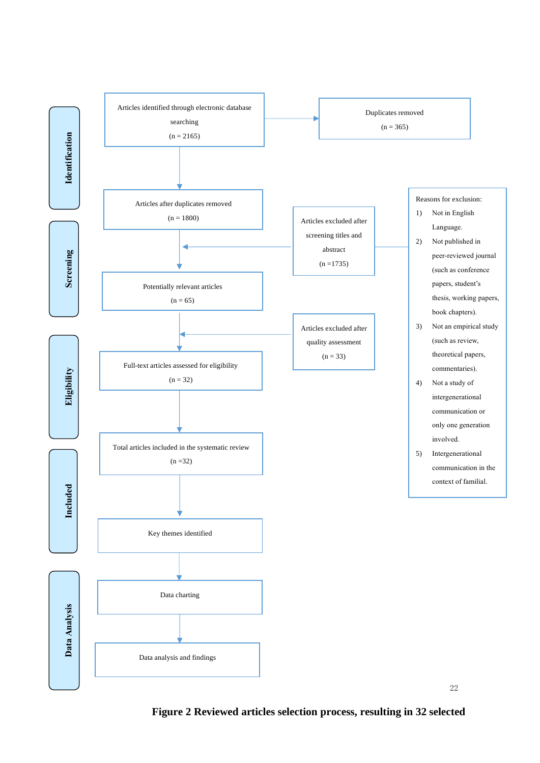

**Figure 2 Reviewed articles selection process, resulting in 32 selected**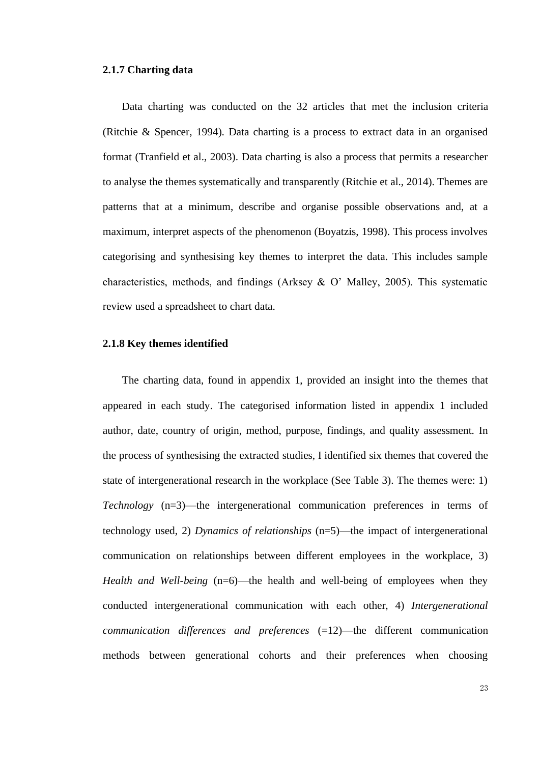#### <span id="page-22-0"></span>**2.1.7 Charting data**

Data charting was conducted on the 32 articles that met the inclusion criteria (Ritchie & Spencer, 1994). Data charting is a process to extract data in an organised format (Tranfield et al., 2003). Data charting is also a process that permits a researcher to analyse the themes systematically and transparently (Ritchie et al., 2014). Themes are patterns that at a minimum, describe and organise possible observations and, at a maximum, interpret aspects of the phenomenon (Boyatzis, 1998). This process involves categorising and synthesising key themes to interpret the data. This includes sample characteristics, methods, and findings (Arksey & O' Malley, 2005). This systematic review used a spreadsheet to chart data.

#### <span id="page-22-1"></span>**2.1.8 Key themes identified**

The charting data, found in appendix 1, provided an insight into the themes that appeared in each study. The categorised information listed in appendix 1 included author, date, country of origin, method, purpose, findings, and quality assessment. In the process of synthesising the extracted studies, I identified six themes that covered the state of intergenerational research in the workplace (See Table 3). The themes were: 1) *Technology* (n=3)—the intergenerational communication preferences in terms of technology used, 2) *Dynamics of relationships* (n=5)—the impact of intergenerational communication on relationships between different employees in the workplace, 3) *Health and Well-being* (n=6)—the health and well-being of employees when they conducted intergenerational communication with each other, 4) *Intergenerational communication differences and preferences* (=12)—the different communication methods between generational cohorts and their preferences when choosing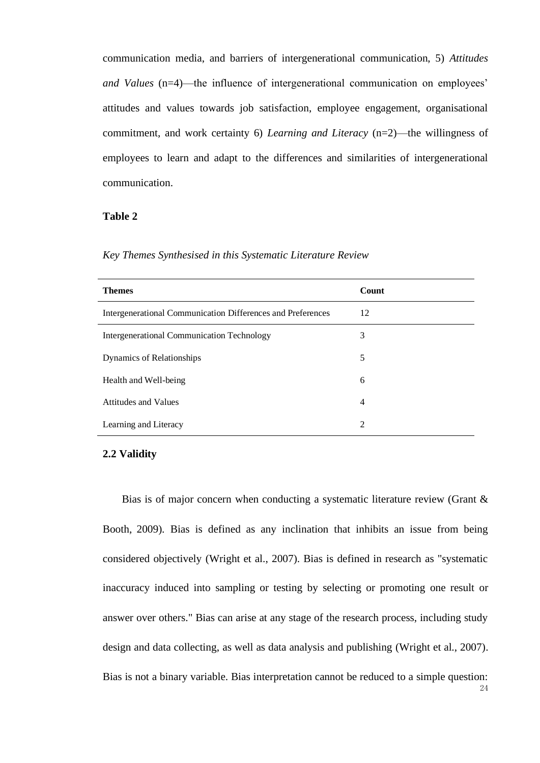communication media, and barriers of intergenerational communication, 5) *Attitudes and Values* (n=4)—the influence of intergenerational communication on employees' attitudes and values towards job satisfaction, employee engagement, organisational commitment, and work certainty 6) *Learning and Literacy* (n=2)—the willingness of employees to learn and adapt to the differences and similarities of intergenerational communication.

## <span id="page-23-1"></span>**Table 2**

| <b>Themes</b>                                               | Count |
|-------------------------------------------------------------|-------|
| Intergenerational Communication Differences and Preferences | 12    |
| Intergenerational Communication Technology                  | 3     |
| Dynamics of Relationships                                   | 5     |
| Health and Well-being                                       | 6     |
| <b>Attitudes and Values</b>                                 | 4     |
| Learning and Literacy                                       | 2     |

*Key Themes Synthesised in this Systematic Literature Review*

#### <span id="page-23-0"></span>**2.2 Validity**

Bias is of major concern when conducting a systematic literature review (Grant & Booth, 2009). Bias is defined as any inclination that inhibits an issue from being considered objectively (Wright et al., 2007). Bias is defined in research as "systematic inaccuracy induced into sampling or testing by selecting or promoting one result or answer over others." Bias can arise at any stage of the research process, including study design and data collecting, as well as data analysis and publishing (Wright et al., 2007). Bias is not a binary variable. Bias interpretation cannot be reduced to a simple question: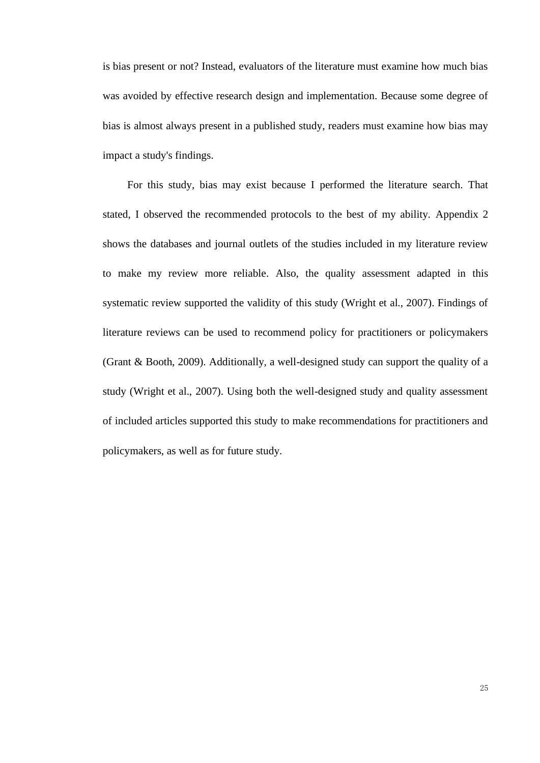is bias present or not? Instead, evaluators of the literature must examine how much bias was avoided by effective research design and implementation. Because some degree of bias is almost always present in a published study, readers must examine how bias may impact a study's findings.

For this study, bias may exist because I performed the literature search. That stated, I observed the recommended protocols to the best of my ability. Appendix 2 shows the databases and journal outlets of the studies included in my literature review to make my review more reliable. Also, the quality assessment adapted in this systematic review supported the validity of this study (Wright et al., 2007). Findings of literature reviews can be used to recommend policy for practitioners or policymakers (Grant & Booth, 2009). Additionally, a well-designed study can support the quality of a study (Wright et al., 2007). Using both the well-designed study and quality assessment of included articles supported this study to make recommendations for practitioners and policymakers, as well as for future study.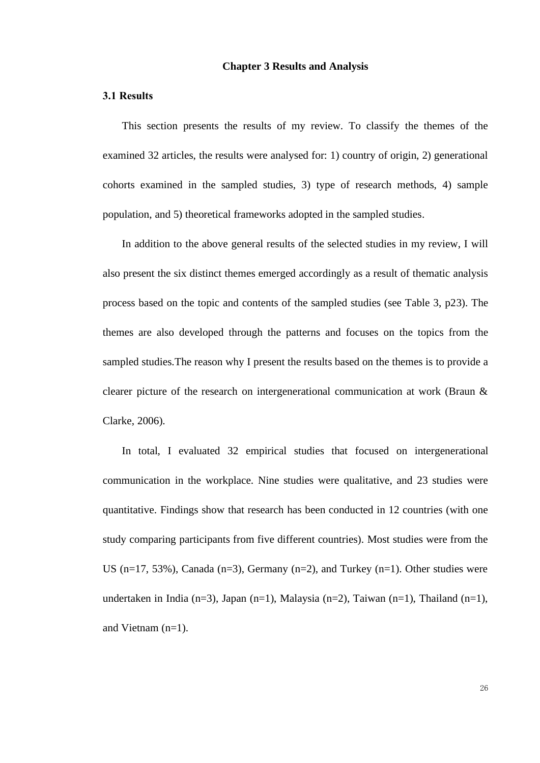### **Chapter 3 Results and Analysis**

## <span id="page-25-1"></span><span id="page-25-0"></span>**3.1 Results**

This section presents the results of my review. To classify the themes of the examined 32 articles, the results were analysed for: 1) country of origin, 2) generational cohorts examined in the sampled studies, 3) type of research methods, 4) sample population, and 5) theoretical frameworks adopted in the sampled studies.

In addition to the above general results of the selected studies in my review, I will also present the six distinct themes emerged accordingly as a result of thematic analysis process based on the topic and contents of the sampled studies (see Table 3, p23). The themes are also developed through the patterns and focuses on the topics from the sampled studies.The reason why I present the results based on the themes is to provide a clearer picture of the research on intergenerational communication at work (Braun & Clarke, 2006).

In total, I evaluated 32 empirical studies that focused on intergenerational communication in the workplace. Nine studies were qualitative, and 23 studies were quantitative. Findings show that research has been conducted in 12 countries (with one study comparing participants from five different countries). Most studies were from the US ( $n=17$ , 53%), Canada ( $n=3$ ), Germany ( $n=2$ ), and Turkey ( $n=1$ ). Other studies were undertaken in India (n=3), Japan (n=1), Malaysia (n=2), Taiwan (n=1), Thailand (n=1), and Vietnam (n=1).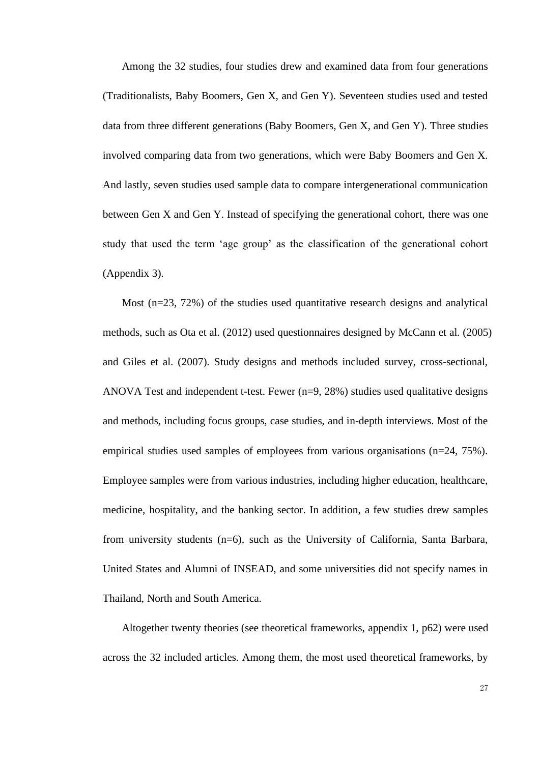Among the 32 studies, four studies drew and examined data from four generations (Traditionalists, Baby Boomers, Gen X, and Gen Y). Seventeen studies used and tested data from three different generations (Baby Boomers, Gen X, and Gen Y). Three studies involved comparing data from two generations, which were Baby Boomers and Gen X. And lastly, seven studies used sample data to compare intergenerational communication between Gen X and Gen Y. Instead of specifying the generational cohort, there was one study that used the term 'age group' as the classification of the generational cohort (Appendix 3).

Most (n=23, 72%) of the studies used quantitative research designs and analytical methods, such as Ota et al. (2012) used questionnaires designed by McCann et al. (2005) and Giles et al. (2007). Study designs and methods included survey, cross-sectional, ANOVA Test and independent t-test. Fewer (n=9, 28%) studies used qualitative designs and methods, including focus groups, case studies, and in-depth interviews. Most of the empirical studies used samples of employees from various organisations (n=24, 75%). Employee samples were from various industries, including higher education, healthcare, medicine, hospitality, and the banking sector. In addition, a few studies drew samples from university students (n=6), such as the University of California, Santa Barbara, United States and Alumni of INSEAD, and some universities did not specify names in Thailand, North and South America.

Altogether twenty theories (see theoretical frameworks, appendix 1, p62) were used across the 32 included articles. Among them, the most used theoretical frameworks, by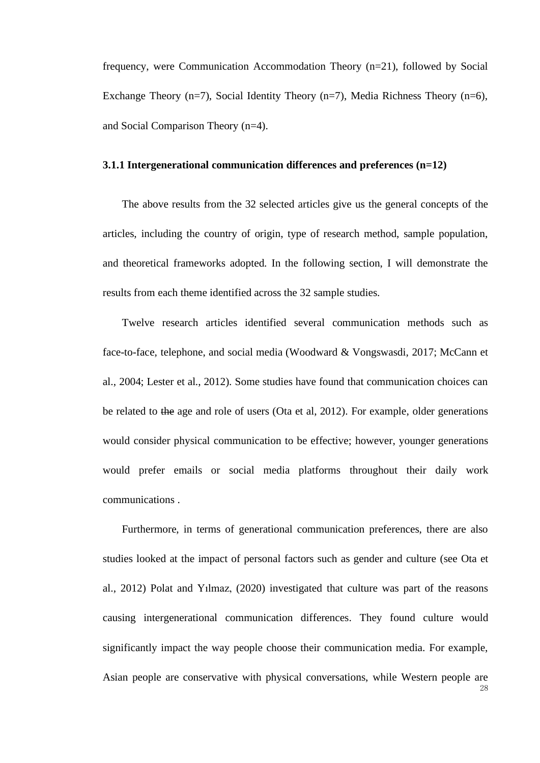frequency, were Communication Accommodation Theory (n=21), followed by Social Exchange Theory (n=7), Social Identity Theory (n=7), Media Richness Theory (n=6), and Social Comparison Theory (n=4).

## <span id="page-27-0"></span>**3.1.1 Intergenerational communication differences and preferences (n=12)**

The above results from the 32 selected articles give us the general concepts of the articles, including the country of origin, type of research method, sample population, and theoretical frameworks adopted. In the following section, I will demonstrate the results from each theme identified across the 32 sample studies.

Twelve research articles identified several communication methods such as face-to-face, telephone, and social media (Woodward & Vongswasdi, 2017; McCann et al., 2004; Lester et al., 2012). Some studies have found that communication choices can be related to the age and role of users (Ota et al, 2012). For example, older generations would consider physical communication to be effective; however, younger generations would prefer emails or social media platforms throughout their daily work communications .

Furthermore, in terms of generational communication preferences, there are also studies looked at the impact of personal factors such as gender and culture (see Ota et al., 2012) Polat and Yılmaz, (2020) investigated that culture was part of the reasons causing intergenerational communication differences. They found culture would significantly impact the way people choose their communication media. For example, Asian people are conservative with physical conversations, while Western people are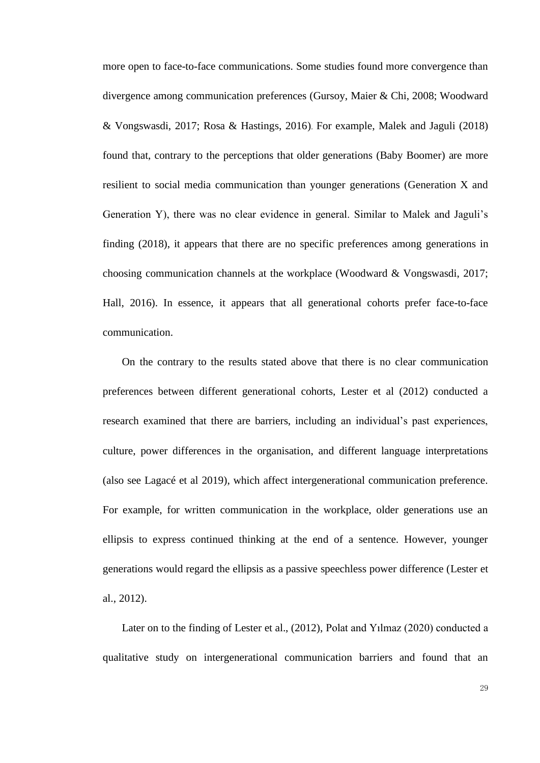more open to face-to-face communications. Some studies found more convergence than divergence among communication preferences (Gursoy, Maier & Chi, 2008; Woodward & Vongswasdi, 2017; Rosa & Hastings, 2016). For example, Malek and Jaguli (2018) found that, contrary to the perceptions that older generations (Baby Boomer) are more resilient to social media communication than younger generations (Generation X and Generation Y), there was no clear evidence in general. Similar to Malek and Jaguli's finding (2018), it appears that there are no specific preferences among generations in choosing communication channels at the workplace (Woodward & Vongswasdi, 2017; Hall, 2016). In essence, it appears that all generational cohorts prefer face-to-face communication.

On the contrary to the results stated above that there is no clear communication preferences between different generational cohorts, Lester et al (2012) conducted a research examined that there are barriers, including an individual's past experiences, culture, power differences in the organisation, and different language interpretations (also see Lagacé et al 2019), which affect intergenerational communication preference. For example, for written communication in the workplace, older generations use an ellipsis to express continued thinking at the end of a sentence. However, younger generations would regard the ellipsis as a passive speechless power difference (Lester et al., 2012).

Later on to the finding of Lester et al., (2012), Polat and Yılmaz (2020) conducted a qualitative study on intergenerational communication barriers and found that an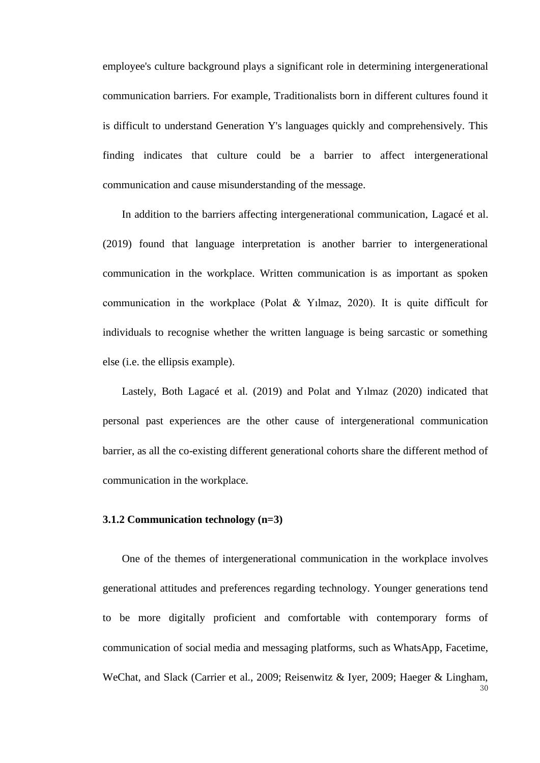employee's culture background plays a significant role in determining intergenerational communication barriers. For example, Traditionalists born in different cultures found it is difficult to understand Generation Y's languages quickly and comprehensively. This finding indicates that culture could be a barrier to affect intergenerational communication and cause misunderstanding of the message.

In addition to the barriers affecting intergenerational communication, Lagacé et al. (2019) found that language interpretation is another barrier to intergenerational communication in the workplace. Written communication is as important as spoken communication in the workplace (Polat & Yılmaz, 2020). It is quite difficult for individuals to recognise whether the written language is being sarcastic or something else (i.e. the ellipsis example).

Lastely, Both Lagacé et al. (2019) and Polat and Yılmaz (2020) indicated that personal past experiences are the other cause of intergenerational communication barrier, as all the co-existing different generational cohorts share the different method of communication in the workplace.

#### <span id="page-29-0"></span>**3.1.2 Communication technology (n=3)**

One of the themes of intergenerational communication in the workplace involves generational attitudes and preferences regarding technology. Younger generations tend to be more digitally proficient and comfortable with contemporary forms of communication of social media and messaging platforms, such as WhatsApp, Facetime, WeChat, and Slack (Carrier et al., 2009; Reisenwitz & Iyer, 2009; Haeger & Lingham,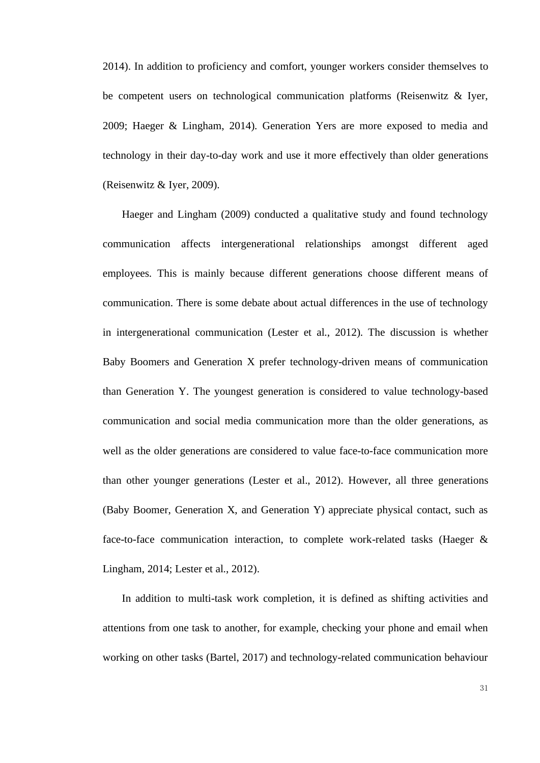2014). In addition to proficiency and comfort, younger workers consider themselves to be competent users on technological communication platforms (Reisenwitz & Iyer, 2009; Haeger & Lingham, 2014). Generation Yers are more exposed to media and technology in their day-to-day work and use it more effectively than older generations (Reisenwitz & Iyer, 2009).

Haeger and Lingham (2009) conducted a qualitative study and found technology communication affects intergenerational relationships amongst different aged employees. This is mainly because different generations choose different means of communication. There is some debate about actual differences in the use of technology in intergenerational communication (Lester et al., 2012). The discussion is whether Baby Boomers and Generation X prefer technology-driven means of communication than Generation Y. The youngest generation is considered to value technology-based communication and social media communication more than the older generations, as well as the older generations are considered to value face-to-face communication more than other younger generations (Lester et al., 2012). However, all three generations (Baby Boomer, Generation X, and Generation Y) appreciate physical contact, such as face-to-face communication interaction, to complete work-related tasks (Haeger & Lingham, 2014; Lester et al., 2012).

In addition to multi-task work completion, it is defined as shifting activities and attentions from one task to another, for example, checking your phone and email when working on other tasks (Bartel, 2017) and technology-related communication behaviour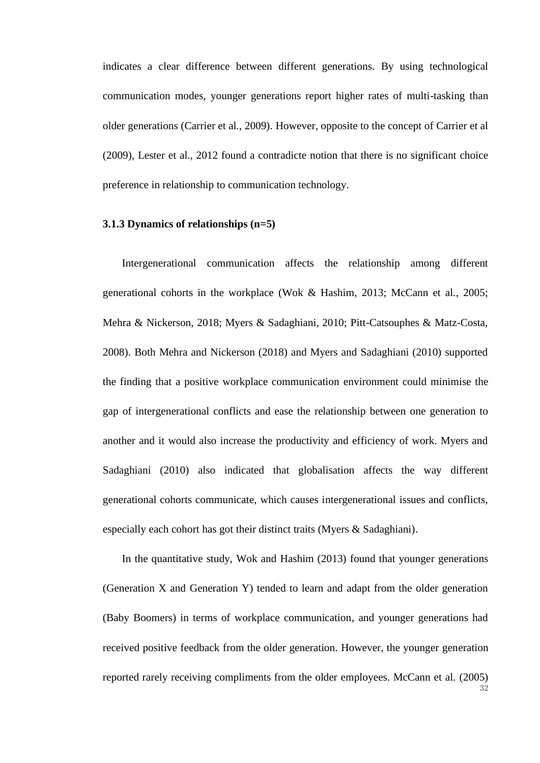indicates a clear difference between different generations. By using technological communication modes, younger generations report higher rates of multi-tasking than older generations (Carrier et al., 2009). However, opposite to the concept of Carrier et al (2009), Lester et al., 2012 found a contradicte notion that there is no significant choice preference in relationship to communication technology.

## <span id="page-31-0"></span>**3.1.3 Dynamics of relationships (n=5)**

Intergenerational communication affects the relationship among different generational cohorts in the workplace (Wok & Hashim, 2013; McCann et al., 2005; Mehra & Nickerson, 2018; Myers & Sadaghiani, 2010; Pitt-Catsouphes & Matz-Costa, 2008). Both Mehra and Nickerson (2018) and Myers and Sadaghiani (2010) supported the finding that a positive workplace communication environment could minimise the gap of intergenerational conflicts and ease the relationship between one generation to another and it would also increase the productivity and efficiency of work. Myers and Sadaghiani (2010) also indicated that globalisation affects the way different generational cohorts communicate, which causes intergenerational issues and conflicts, especially each cohort has got their distinct traits (Myers & Sadaghiani).

In the quantitative study, Wok and Hashim (2013) found that younger generations (Generation X and Generation Y) tended to learn and adapt from the older generation (Baby Boomers) in terms of workplace communication, and younger generations had received positive feedback from the older generation. However, the younger generation reported rarely receiving compliments from the older employees. McCann et al. (2005)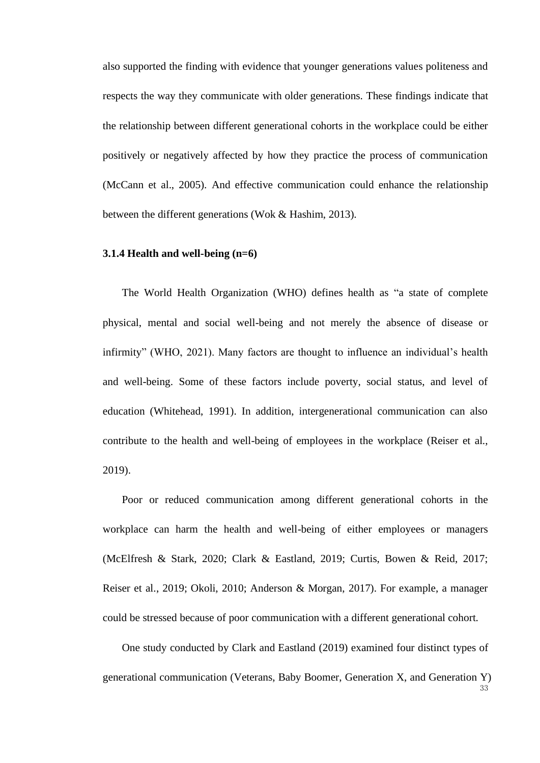also supported the finding with evidence that younger generations values politeness and respects the way they communicate with older generations. These findings indicate that the relationship between different generational cohorts in the workplace could be either positively or negatively affected by how they practice the process of communication (McCann et al., 2005). And effective communication could enhance the relationship between the different generations (Wok & Hashim, 2013).

## <span id="page-32-0"></span>**3.1.4 Health and well-being (n=6)**

The World Health Organization (WHO) defines health as "a state of complete physical, mental and social well-being and not merely the absence of disease or infirmity" (WHO, 2021). Many factors are thought to influence an individual's health and well-being. Some of these factors include poverty, social status, and level of education (Whitehead, 1991). In addition, intergenerational communication can also contribute to the health and well-being of employees in the workplace (Reiser et al., 2019).

Poor or reduced communication among different generational cohorts in the workplace can harm the health and well-being of either employees or managers (McElfresh & Stark, 2020; Clark & Eastland, 2019; Curtis, Bowen & Reid, 2017; Reiser et al., 2019; Okoli, 2010; Anderson & Morgan, 2017). For example, a manager could be stressed because of poor communication with a different generational cohort.

One study conducted by Clark and Eastland (2019) examined four distinct types of generational communication (Veterans, Baby Boomer, Generation X, and Generation Y)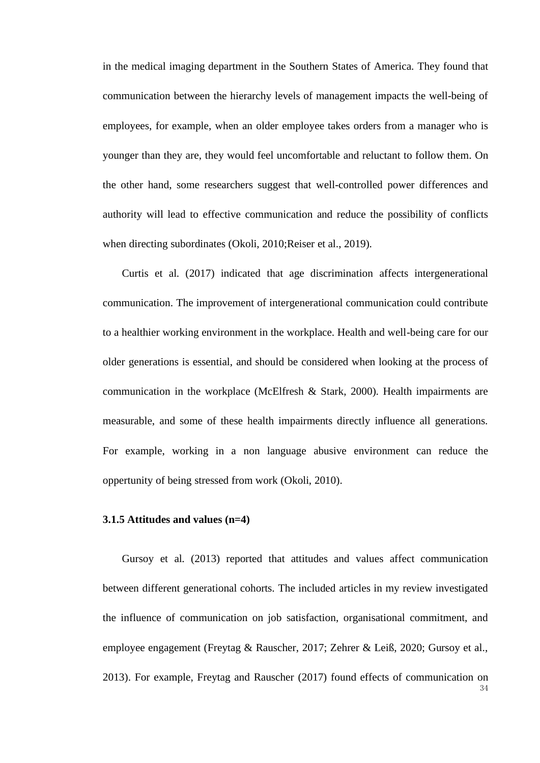in the medical imaging department in the Southern States of America. They found that communication between the hierarchy levels of management impacts the well-being of employees, for example, when an older employee takes orders from a manager who is younger than they are, they would feel uncomfortable and reluctant to follow them. On the other hand, some researchers suggest that well-controlled power differences and authority will lead to effective communication and reduce the possibility of conflicts when directing subordinates (Okoli, 2010;Reiser et al., 2019).

Curtis et al. (2017) indicated that age discrimination affects intergenerational communication. The improvement of intergenerational communication could contribute to a healthier working environment in the workplace. Health and well-being care for our older generations is essential, and should be considered when looking at the process of communication in the workplace (McElfresh & Stark, 2000). Health impairments are measurable, and some of these health impairments directly influence all generations. For example, working in a non language abusive environment can reduce the oppertunity of being stressed from work (Okoli, 2010).

#### <span id="page-33-0"></span>**3.1.5 Attitudes and values (n=4)**

34 Gursoy et al. (2013) reported that attitudes and values affect communication between different generational cohorts. The included articles in my review investigated the influence of communication on job satisfaction, organisational commitment, and employee engagement (Freytag & Rauscher, 2017; Zehrer & Leiß, 2020; Gursoy et al., 2013). For example, Freytag and Rauscher (2017) found effects of communication on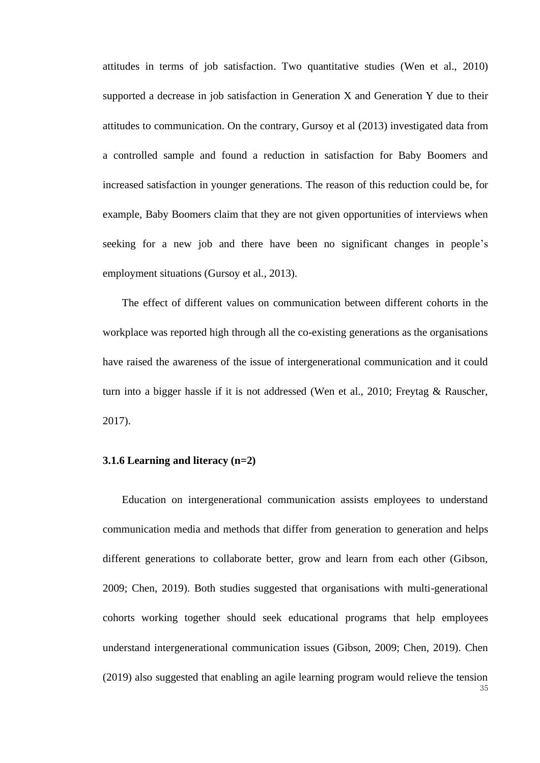attitudes in terms of job satisfaction. Two quantitative studies (Wen et al., 2010) supported a decrease in job satisfaction in Generation X and Generation Y due to their attitudes to communication. On the contrary, Gursoy et al (2013) investigated data from a controlled sample and found a reduction in satisfaction for Baby Boomers and increased satisfaction in younger generations. The reason of this reduction could be, for example, Baby Boomers claim that they are not given opportunities of interviews when seeking for a new job and there have been no significant changes in people's employment situations (Gursoy et al., 2013).

The effect of different values on communication between different cohorts in the workplace was reported high through all the co-existing generations as the organisations have raised the awareness of the issue of intergenerational communication and it could turn into a bigger hassle if it is not addressed (Wen et al., 2010; Freytag & Rauscher, 2017).

### <span id="page-34-0"></span>**3.1.6 Learning and literacy (n=2)**

35 Education on intergenerational communication assists employees to understand communication media and methods that differ from generation to generation and helps different generations to collaborate better, grow and learn from each other (Gibson, 2009; Chen, 2019). Both studies suggested that organisations with multi-generational cohorts working together should seek educational programs that help employees understand intergenerational communication issues (Gibson, 2009; Chen, 2019). Chen (2019) also suggested that enabling an agile learning program would relieve the tension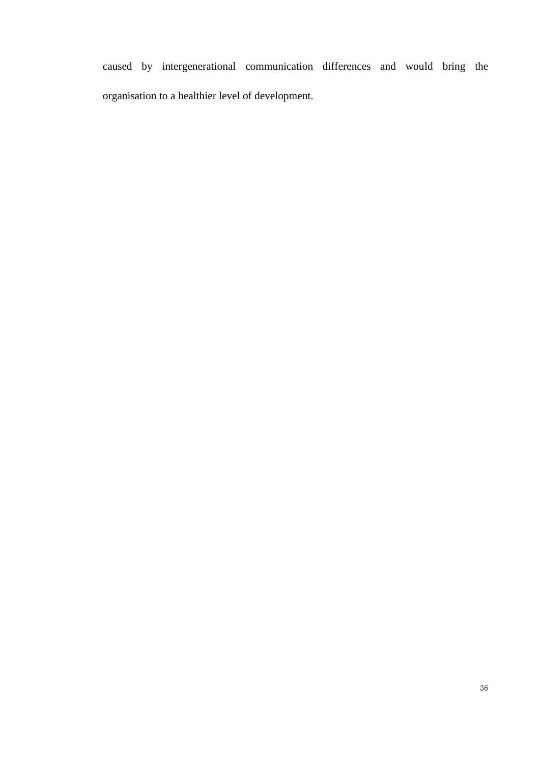caused by intergenerational communication differences and would bring the organisation to a healthier level of development.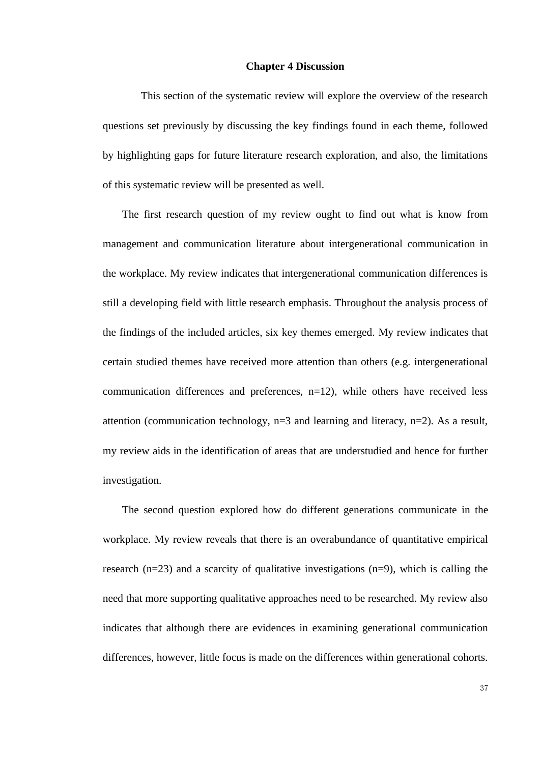#### **Chapter 4 Discussion**

This section of the systematic review will explore the overview of the research questions set previously by discussing the key findings found in each theme, followed by highlighting gaps for future literature research exploration, and also, the limitations of this systematic review will be presented as well.

The first research question of my review ought to find out what is know from management and communication literature about intergenerational communication in the workplace. My review indicates that intergenerational communication differences is still a developing field with little research emphasis. Throughout the analysis process of the findings of the included articles, six key themes emerged. My review indicates that certain studied themes have received more attention than others (e.g. intergenerational communication differences and preferences, n=12), while others have received less attention (communication technology,  $n=3$  and learning and literacy,  $n=2$ ). As a result, my review aids in the identification of areas that are understudied and hence for further investigation.

The second question explored how do different generations communicate in the workplace. My review reveals that there is an overabundance of quantitative empirical research  $(n=23)$  and a scarcity of qualitative investigations  $(n=9)$ , which is calling the need that more supporting qualitative approaches need to be researched. My review also indicates that although there are evidences in examining generational communication differences, however, little focus is made on the differences within generational cohorts.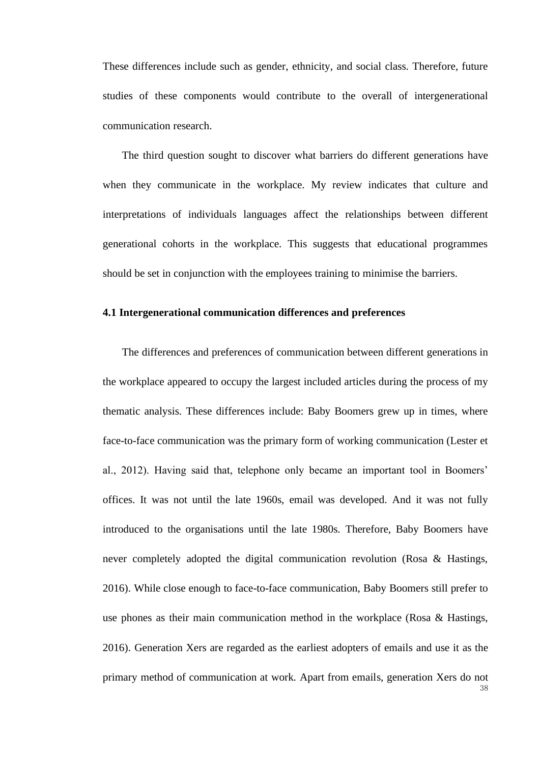These differences include such as gender, ethnicity, and social class. Therefore, future studies of these components would contribute to the overall of intergenerational communication research.

The third question sought to discover what barriers do different generations have when they communicate in the workplace. My review indicates that culture and interpretations of individuals languages affect the relationships between different generational cohorts in the workplace. This suggests that educational programmes should be set in conjunction with the employees training to minimise the barriers.

# **4.1 Intergenerational communication differences and preferences**

The differences and preferences of communication between different generations in the workplace appeared to occupy the largest included articles during the process of my thematic analysis. These differences include: Baby Boomers grew up in times, where face-to-face communication was the primary form of working communication (Lester et al., 2012). Having said that, telephone only became an important tool in Boomers' offices. It was not until the late 1960s, email was developed. And it was not fully introduced to the organisations until the late 1980s. Therefore, Baby Boomers have never completely adopted the digital communication revolution (Rosa & Hastings, 2016). While close enough to face-to-face communication, Baby Boomers still prefer to use phones as their main communication method in the workplace (Rosa & Hastings, 2016). Generation Xers are regarded as the earliest adopters of emails and use it as the primary method of communication at work. Apart from emails, generation Xers do not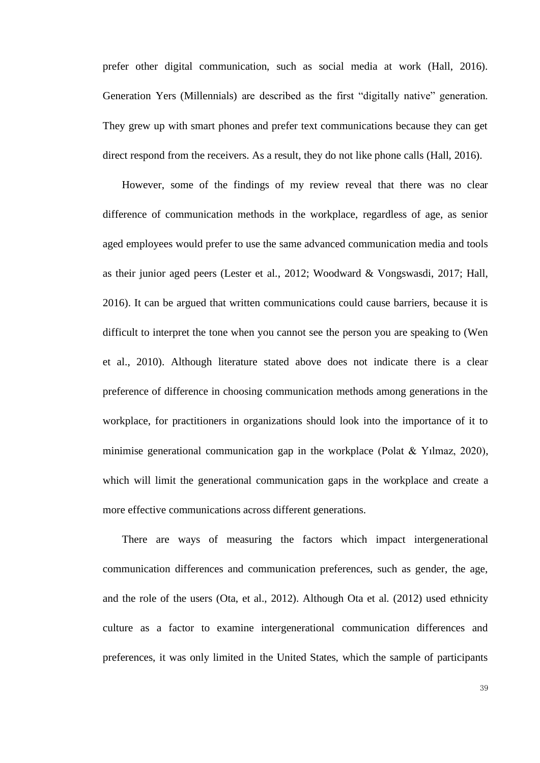prefer other digital communication, such as social media at work (Hall, 2016). Generation Yers (Millennials) are described as the first "digitally native" generation. They grew up with smart phones and prefer text communications because they can get direct respond from the receivers. As a result, they do not like phone calls (Hall, 2016).

However, some of the findings of my review reveal that there was no clear difference of communication methods in the workplace, regardless of age, as senior aged employees would prefer to use the same advanced communication media and tools as their junior aged peers (Lester et al., 2012; Woodward & Vongswasdi, 2017; Hall, 2016). It can be argued that written communications could cause barriers, because it is difficult to interpret the tone when you cannot see the person you are speaking to (Wen et al., 2010). Although literature stated above does not indicate there is a clear preference of difference in choosing communication methods among generations in the workplace, for practitioners in organizations should look into the importance of it to minimise generational communication gap in the workplace (Polat & Yılmaz, 2020), which will limit the generational communication gaps in the workplace and create a more effective communications across different generations.

There are ways of measuring the factors which impact intergenerational communication differences and communication preferences, such as gender, the age, and the role of the users (Ota, et al., 2012). Although Ota et al. (2012) used ethnicity culture as a factor to examine intergenerational communication differences and preferences, it was only limited in the United States, which the sample of participants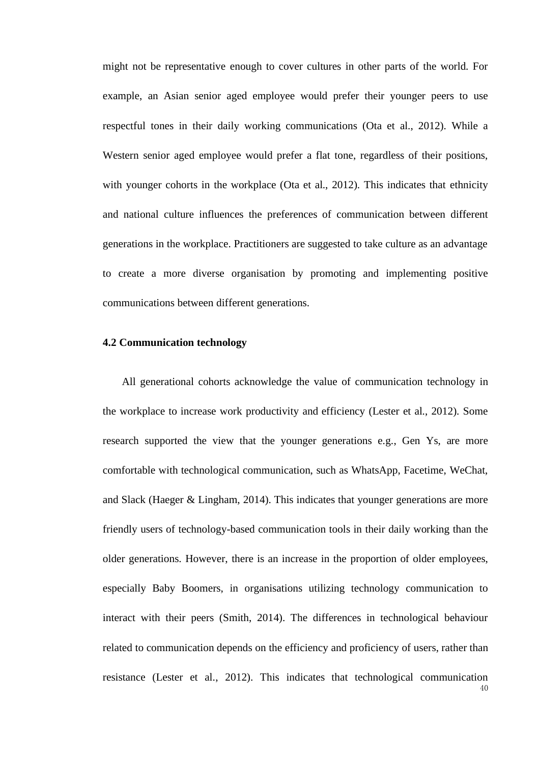might not be representative enough to cover cultures in other parts of the world. For example, an Asian senior aged employee would prefer their younger peers to use respectful tones in their daily working communications (Ota et al., 2012). While a Western senior aged employee would prefer a flat tone, regardless of their positions, with younger cohorts in the workplace (Ota et al., 2012). This indicates that ethnicity and national culture influences the preferences of communication between different generations in the workplace. Practitioners are suggested to take culture as an advantage to create a more diverse organisation by promoting and implementing positive communications between different generations.

# **4.2 Communication technology**

 $40<sup>1</sup>$ All generational cohorts acknowledge the value of communication technology in the workplace to increase work productivity and efficiency (Lester et al., 2012). Some research supported the view that the younger generations e.g., Gen Ys, are more comfortable with technological communication, such as WhatsApp, Facetime, WeChat, and Slack (Haeger & Lingham, 2014). This indicates that younger generations are more friendly users of technology-based communication tools in their daily working than the older generations. However, there is an increase in the proportion of older employees, especially Baby Boomers, in organisations utilizing technology communication to interact with their peers (Smith, 2014). The differences in technological behaviour related to communication depends on the efficiency and proficiency of users, rather than resistance (Lester et al., 2012). This indicates that technological communication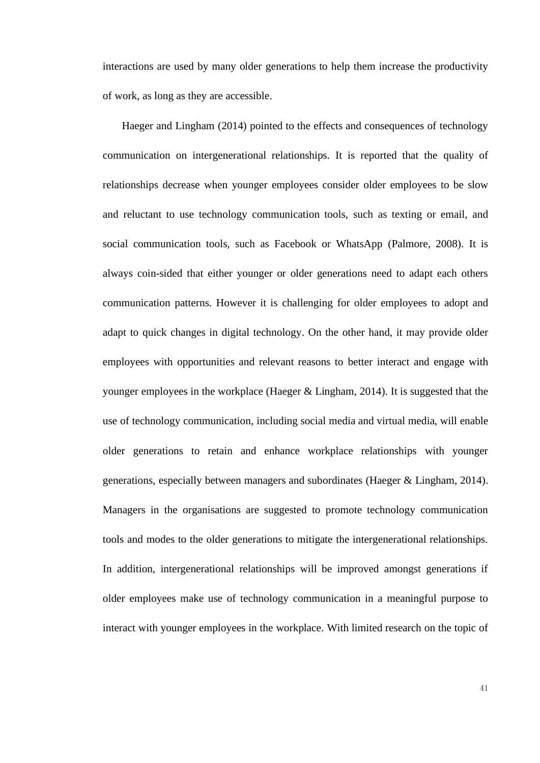interactions are used by many older generations to help them increase the productivity of work, as long as they are accessible.

Haeger and Lingham (2014) pointed to the effects and consequences of technology communication on intergenerational relationships. It is reported that the quality of relationships decrease when younger employees consider older employees to be slow and reluctant to use technology communication tools, such as texting or email, and social communication tools, such as Facebook or WhatsApp (Palmore, 2008). It is always coin-sided that either younger or older generations need to adapt each others communication patterns. However it is challenging for older employees to adopt and adapt to quick changes in digital technology. On the other hand, it may provide older employees with opportunities and relevant reasons to better interact and engage with younger employees in the workplace (Haeger & Lingham, 2014). It is suggested that the use of technology communication, including social media and virtual media, will enable older generations to retain and enhance workplace relationships with younger generations, especially between managers and subordinates (Haeger & Lingham, 2014). Managers in the organisations are suggested to promote technology communication tools and modes to the older generations to mitigate the intergenerational relationships. In addition, intergenerational relationships will be improved amongst generations if older employees make use of technology communication in a meaningful purpose to interact with younger employees in the workplace. With limited research on the topic of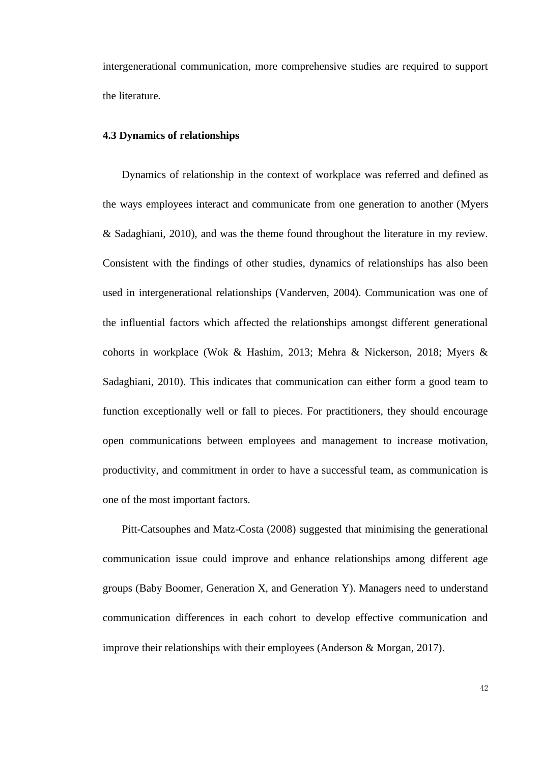intergenerational communication, more comprehensive studies are required to support the literature.

# **4.3 Dynamics of relationships**

Dynamics of relationship in the context of workplace was referred and defined as the ways employees interact and communicate from one generation to another (Myers & Sadaghiani, 2010), and was the theme found throughout the literature in my review. Consistent with the findings of other studies, dynamics of relationships has also been used in intergenerational relationships (Vanderven, 2004). Communication was one of the influential factors which affected the relationships amongst different generational cohorts in workplace (Wok & Hashim, 2013; Mehra & Nickerson, 2018; Myers & Sadaghiani, 2010). This indicates that communication can either form a good team to function exceptionally well or fall to pieces. For practitioners, they should encourage open communications between employees and management to increase motivation, productivity, and commitment in order to have a successful team, as communication is one of the most important factors.

Pitt-Catsouphes and Matz-Costa (2008) suggested that minimising the generational communication issue could improve and enhance relationships among different age groups (Baby Boomer, Generation X, and Generation Y). Managers need to understand communication differences in each cohort to develop effective communication and improve their relationships with their employees (Anderson & Morgan, 2017).

42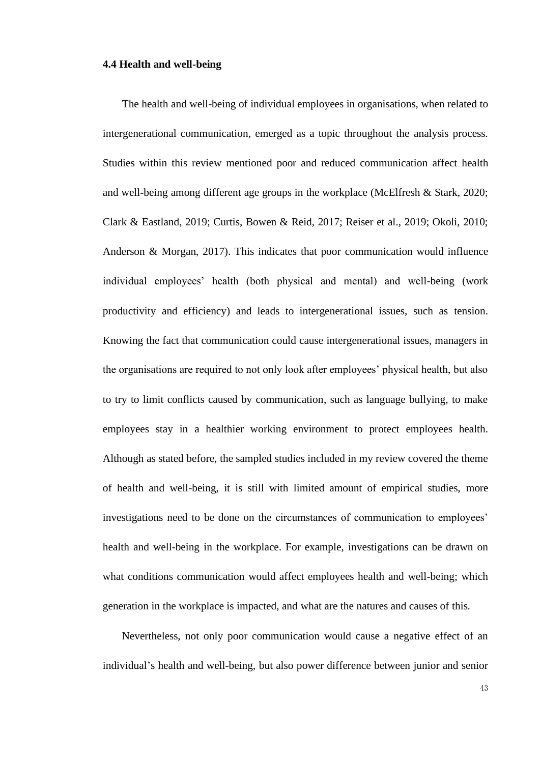# **4.4 Health and well-being**

The health and well-being of individual employees in organisations, when related to intergenerational communication, emerged as a topic throughout the analysis process. Studies within this review mentioned poor and reduced communication affect health and well-being among different age groups in the workplace (McElfresh & Stark, 2020; Clark & Eastland, 2019; Curtis, Bowen & Reid, 2017; Reiser et al., 2019; Okoli, 2010; Anderson & Morgan, 2017). This indicates that poor communication would influence individual employees' health (both physical and mental) and well-being (work productivity and efficiency) and leads to intergenerational issues, such as tension. Knowing the fact that communication could cause intergenerational issues, managers in the organisations are required to not only look after employees' physical health, but also to try to limit conflicts caused by communication, such as language bullying, to make employees stay in a healthier working environment to protect employees health. Although as stated before, the sampled studies included in my review covered the theme of health and well-being, it is still with limited amount of empirical studies, more investigations need to be done on the circumstances of communication to employees' health and well-being in the workplace. For example, investigations can be drawn on what conditions communication would affect employees health and well-being; which generation in the workplace is impacted, and what are the natures and causes of this.

Nevertheless, not only poor communication would cause a negative effect of an individual's health and well-being, but also power difference between junior and senior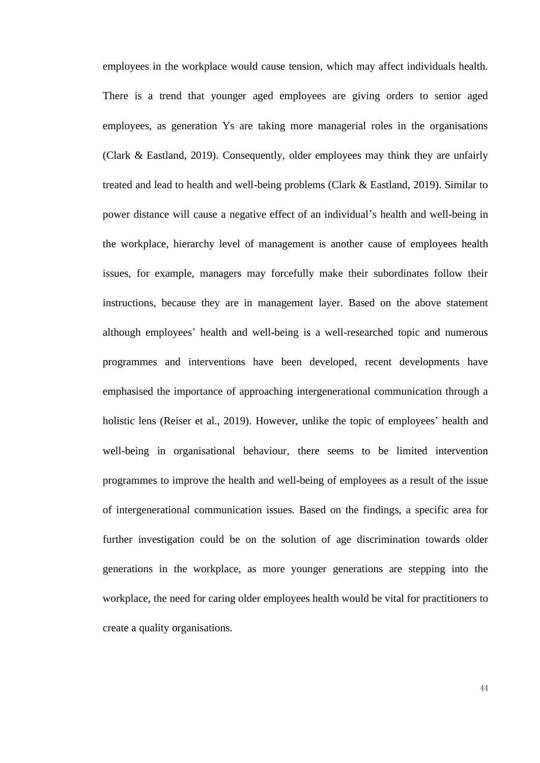employees in the workplace would cause tension, which may affect individuals health. There is a trend that younger aged employees are giving orders to senior aged employees, as generation Ys are taking more managerial roles in the organisations (Clark & Eastland, 2019). Consequently, older employees may think they are unfairly treated and lead to health and well-being problems (Clark & Eastland, 2019). Similar to power distance will cause a negative effect of an individual's health and well-being in the workplace, hierarchy level of management is another cause of employees health issues, for example, managers may forcefully make their subordinates follow their instructions, because they are in management layer. Based on the above statement although employees' health and well-being is a well-researched topic and numerous programmes and interventions have been developed, recent developments have emphasised the importance of approaching intergenerational communication through a holistic lens (Reiser et al., 2019). However, unlike the topic of employees' health and well-being in organisational behaviour, there seems to be limited intervention programmes to improve the health and well-being of employees as a result of the issue of intergenerational communication issues. Based on the findings, a specific area for further investigation could be on the solution of age discrimination towards older generations in the workplace, as more younger generations are stepping into the workplace, the need for caring older employees health would be vital for practitioners to create a quality organisations.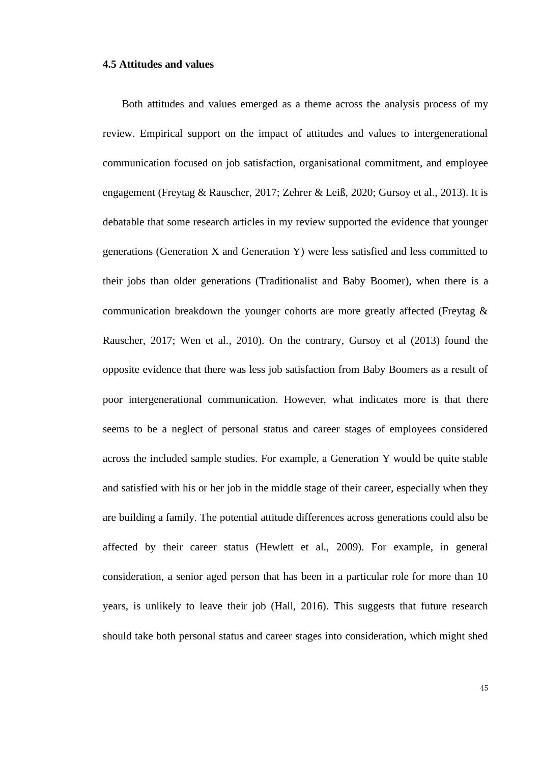#### **4.5 Attitudes and values**

Both attitudes and values emerged as a theme across the analysis process of my review. Empirical support on the impact of attitudes and values to intergenerational communication focused on job satisfaction, organisational commitment, and employee engagement (Freytag & Rauscher, 2017; Zehrer & Leiß, 2020; Gursoy et al., 2013). It is debatable that some research articles in my review supported the evidence that younger generations (Generation X and Generation Y) were less satisfied and less committed to their jobs than older generations (Traditionalist and Baby Boomer), when there is a communication breakdown the younger cohorts are more greatly affected (Freytag & Rauscher, 2017; Wen et al., 2010). On the contrary, Gursoy et al (2013) found the opposite evidence that there was less job satisfaction from Baby Boomers as a result of poor intergenerational communication. However, what indicates more is that there seems to be a neglect of personal status and career stages of employees considered across the included sample studies. For example, a Generation Y would be quite stable and satisfied with his or her job in the middle stage of their career, especially when they are building a family. The potential attitude differences across generations could also be affected by their career status (Hewlett et al., 2009). For example, in general consideration, a senior aged person that has been in a particular role for more than 10 years, is unlikely to leave their job (Hall, 2016). This suggests that future research should take both personal status and career stages into consideration, which might shed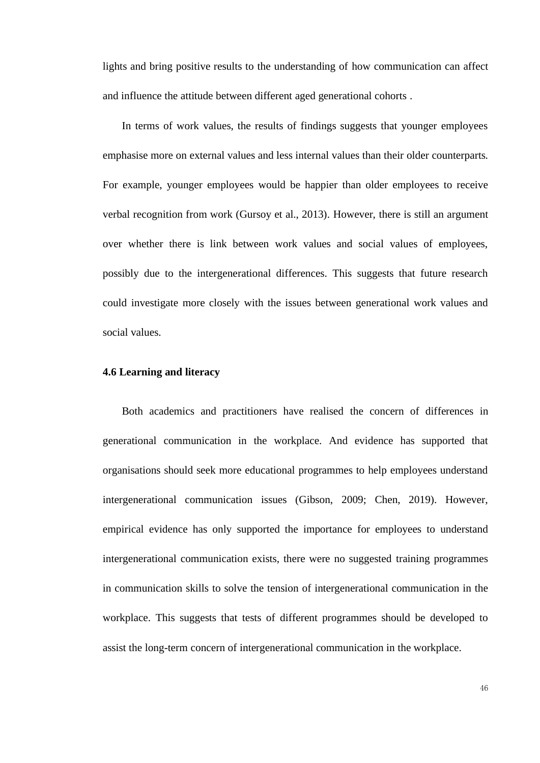lights and bring positive results to the understanding of how communication can affect and influence the attitude between different aged generational cohorts .

In terms of work values, the results of findings suggests that younger employees emphasise more on external values and less internal values than their older counterparts. For example, younger employees would be happier than older employees to receive verbal recognition from work (Gursoy et al., 2013). However, there is still an argument over whether there is link between work values and social values of employees, possibly due to the intergenerational differences. This suggests that future research could investigate more closely with the issues between generational work values and social values.

# **4.6 Learning and literacy**

Both academics and practitioners have realised the concern of differences in generational communication in the workplace. And evidence has supported that organisations should seek more educational programmes to help employees understand intergenerational communication issues (Gibson, 2009; Chen, 2019). However, empirical evidence has only supported the importance for employees to understand intergenerational communication exists, there were no suggested training programmes in communication skills to solve the tension of intergenerational communication in the workplace. This suggests that tests of different programmes should be developed to assist the long-term concern of intergenerational communication in the workplace.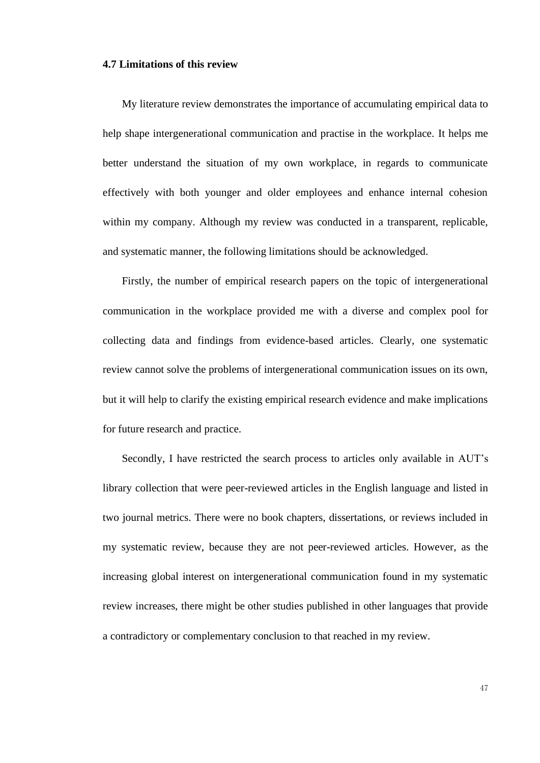#### **4.7 Limitations of this review**

My literature review demonstrates the importance of accumulating empirical data to help shape intergenerational communication and practise in the workplace. It helps me better understand the situation of my own workplace, in regards to communicate effectively with both younger and older employees and enhance internal cohesion within my company. Although my review was conducted in a transparent, replicable, and systematic manner, the following limitations should be acknowledged.

Firstly, the number of empirical research papers on the topic of intergenerational communication in the workplace provided me with a diverse and complex pool for collecting data and findings from evidence-based articles. Clearly, one systematic review cannot solve the problems of intergenerational communication issues on its own, but it will help to clarify the existing empirical research evidence and make implications for future research and practice.

Secondly, I have restricted the search process to articles only available in AUT's library collection that were peer-reviewed articles in the English language and listed in two journal metrics. There were no book chapters, dissertations, or reviews included in my systematic review, because they are not peer-reviewed articles. However, as the increasing global interest on intergenerational communication found in my systematic review increases, there might be other studies published in other languages that provide a contradictory or complementary conclusion to that reached in my review.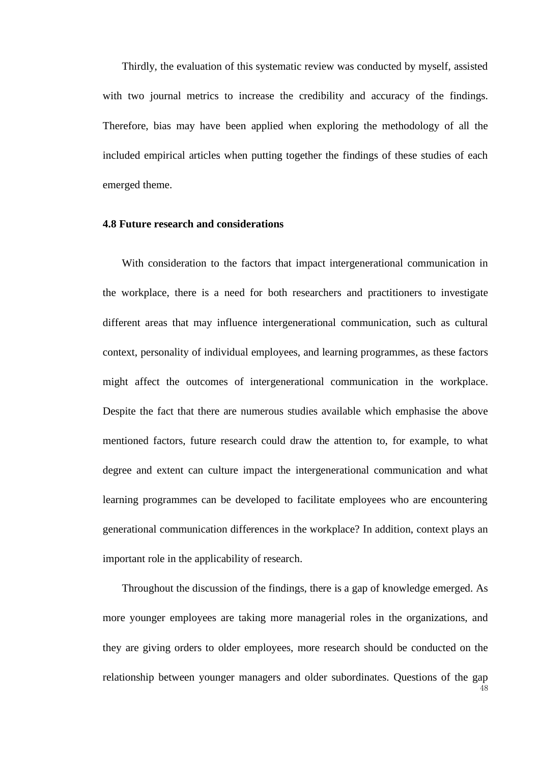Thirdly, the evaluation of this systematic review was conducted by myself, assisted with two journal metrics to increase the credibility and accuracy of the findings. Therefore, bias may have been applied when exploring the methodology of all the included empirical articles when putting together the findings of these studies of each emerged theme.

# **4.8 Future research and considerations**

With consideration to the factors that impact intergenerational communication in the workplace, there is a need for both researchers and practitioners to investigate different areas that may influence intergenerational communication, such as cultural context, personality of individual employees, and learning programmes, as these factors might affect the outcomes of intergenerational communication in the workplace. Despite the fact that there are numerous studies available which emphasise the above mentioned factors, future research could draw the attention to, for example, to what degree and extent can culture impact the intergenerational communication and what learning programmes can be developed to facilitate employees who are encountering generational communication differences in the workplace? In addition, context plays an important role in the applicability of research.

Throughout the discussion of the findings, there is a gap of knowledge emerged. As more younger employees are taking more managerial roles in the organizations, and they are giving orders to older employees, more research should be conducted on the relationship between younger managers and older subordinates. Questions of the gap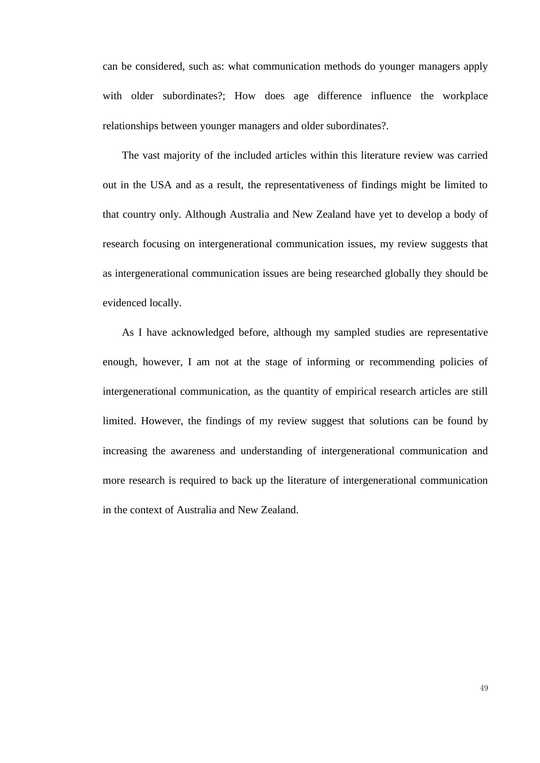can be considered, such as: what communication methods do younger managers apply with older subordinates?; How does age difference influence the workplace relationships between younger managers and older subordinates?.

The vast majority of the included articles within this literature review was carried out in the USA and as a result, the representativeness of findings might be limited to that country only. Although Australia and New Zealand have yet to develop a body of research focusing on intergenerational communication issues, my review suggests that as intergenerational communication issues are being researched globally they should be evidenced locally.

As I have acknowledged before, although my sampled studies are representative enough, however, I am not at the stage of informing or recommending policies of intergenerational communication, as the quantity of empirical research articles are still limited. However, the findings of my review suggest that solutions can be found by increasing the awareness and understanding of intergenerational communication and more research is required to back up the literature of intergenerational communication in the context of Australia and New Zealand.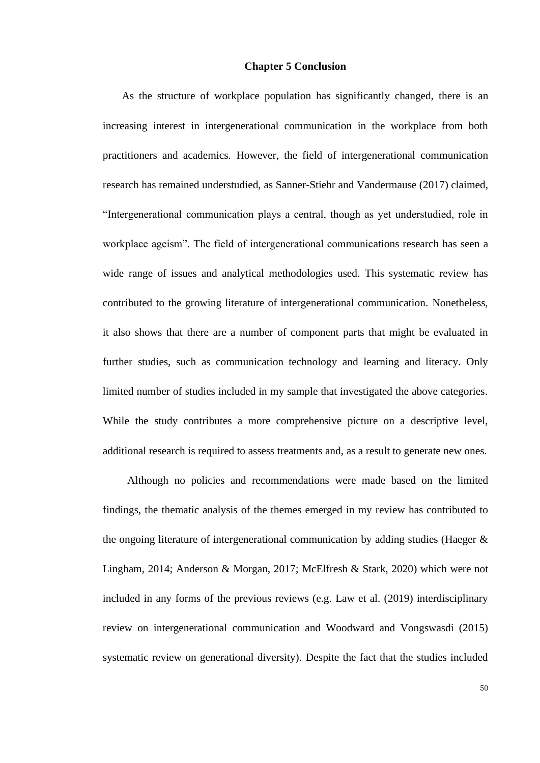# **Chapter 5 Conclusion**

As the structure of workplace population has significantly changed, there is an increasing interest in intergenerational communication in the workplace from both practitioners and academics. However, the field of intergenerational communication research has remained understudied, as Sanner-Stiehr and Vandermause (2017) claimed, "Intergenerational communication plays a central, though as yet understudied, role in workplace ageism". The field of intergenerational communications research has seen a wide range of issues and analytical methodologies used. This systematic review has contributed to the growing literature of intergenerational communication. Nonetheless, it also shows that there are a number of component parts that might be evaluated in further studies, such as communication technology and learning and literacy. Only limited number of studies included in my sample that investigated the above categories. While the study contributes a more comprehensive picture on a descriptive level, additional research is required to assess treatments and, as a result to generate new ones.

Although no policies and recommendations were made based on the limited findings, the thematic analysis of the themes emerged in my review has contributed to the ongoing literature of intergenerational communication by adding studies (Haeger & Lingham, 2014; Anderson & Morgan, 2017; McElfresh & Stark, 2020) which were not included in any forms of the previous reviews (e.g. Law et al. (2019) interdisciplinary review on intergenerational communication and Woodward and Vongswasdi (2015) systematic review on generational diversity). Despite the fact that the studies included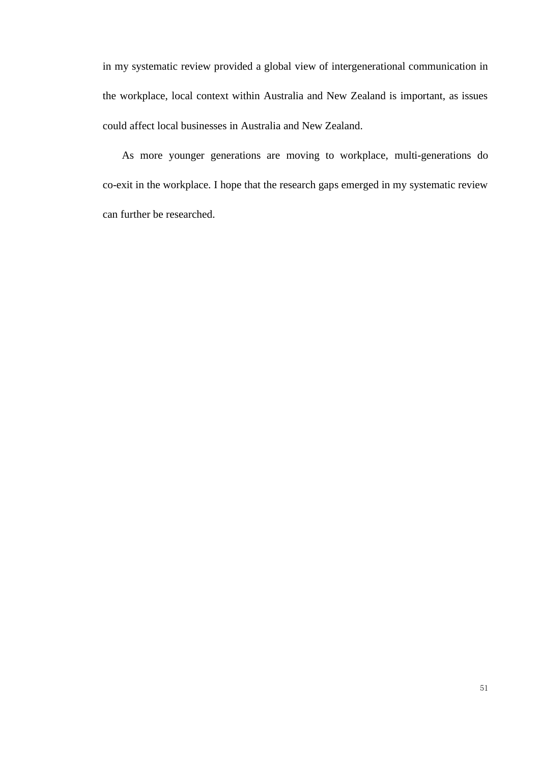in my systematic review provided a global view of intergenerational communication in the workplace, local context within Australia and New Zealand is important, as issues could affect local businesses in Australia and New Zealand.

As more younger generations are moving to workplace, multi-generations do co-exit in the workplace. I hope that the research gaps emerged in my systematic review can further be researched.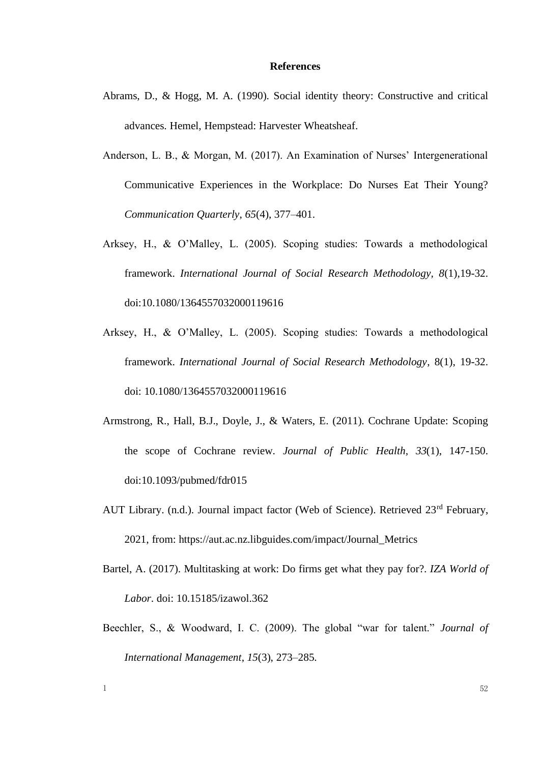#### **References**

- Abrams, D., & Hogg, M. A. (1990). Social identity theory: Constructive and critical advances. Hemel, Hempstead: Harvester Wheatsheaf.
- Anderson, L. B., & Morgan, M. (2017). An Examination of Nurses' Intergenerational Communicative Experiences in the Workplace: Do Nurses Eat Their Young? *Communication Quarterly*, *65*(4), 377–401.
- Arksey, H., & O'Malley, L. (2005). Scoping studies: Towards a methodological framework. *International Journal of Social Research Methodology, 8*(1),19-32. doi:10.1080/1364557032000119616
- Arksey, H., & O'Malley, L. (2005). Scoping studies: Towards a methodological framework. *International Journal of Social Research Methodology*, 8(1), 19-32. doi: 10.1080/1364557032000119616
- Armstrong, R., Hall, B.J., Doyle, J., & Waters, E. (2011). Cochrane Update: Scoping the scope of Cochrane review. *Journal of Public Health, 33*(1), 147-150. doi:10.1093/pubmed/fdr015
- AUT Library. (n.d.). Journal impact factor (Web of Science). Retrieved 23<sup>rd</sup> February, 2021, from: https://aut.ac.nz.libguides.com/impact/Journal\_Metrics
- Bartel, A. (2017). Multitasking at work: Do firms get what they pay for?. *IZA World of Labor*. doi: 10.15185/izawol.362
- Beechler, S., & Woodward, I. C. (2009). The global "war for talent." *Journal of International Management*, *15*(3), 273–285.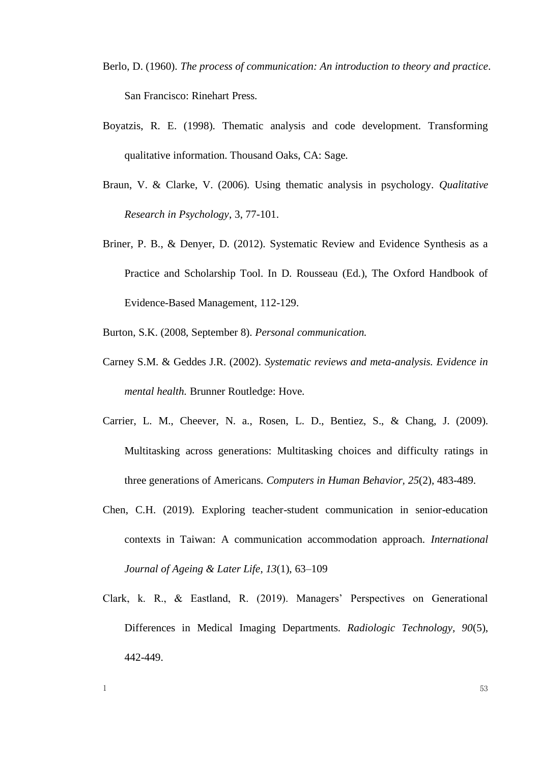- Berlo, D. (1960). *The process of communication: An introduction to theory and practice*. San Francisco: Rinehart Press.
- Boyatzis, R. E. (1998). Thematic analysis and code development. Transforming qualitative information. Thousand Oaks, CA: Sage.
- Braun, V. & Clarke, V. (2006). Using thematic analysis in psychology. *Qualitative Research in Psychology*, 3, 77-101.
- Briner, P. B., & Denyer, D. (2012). Systematic Review and Evidence Synthesis as a Practice and Scholarship Tool. In D. Rousseau (Ed.), The Oxford Handbook of Evidence-Based Management, 112-129.
- Burton, S.K. (2008, September 8). *Personal communication.*
- Carney S.M. & Geddes J.R. (2002). *Systematic reviews and meta-analysis. Evidence in mental health.* Brunner Routledge: Hove.
- Carrier, L. M., Cheever, N. a., Rosen, L. D., Bentiez, S., & Chang, J. (2009). Multitasking across generations: Multitasking choices and difficulty ratings in three generations of Americans. *Computers in Human Behavior, 25*(2), 483-489.
- Chen, C.H. (2019). Exploring teacher-student communication in senior-education contexts in Taiwan: A communication accommodation approach. *International Journal of Ageing & Later Life*, *13*(1), 63–109
- Clark, k. R., & Eastland, R. (2019). Managers' Perspectives on Generational Differences in Medical Imaging Departments. *Radiologic Technology, 90*(5), 442-449.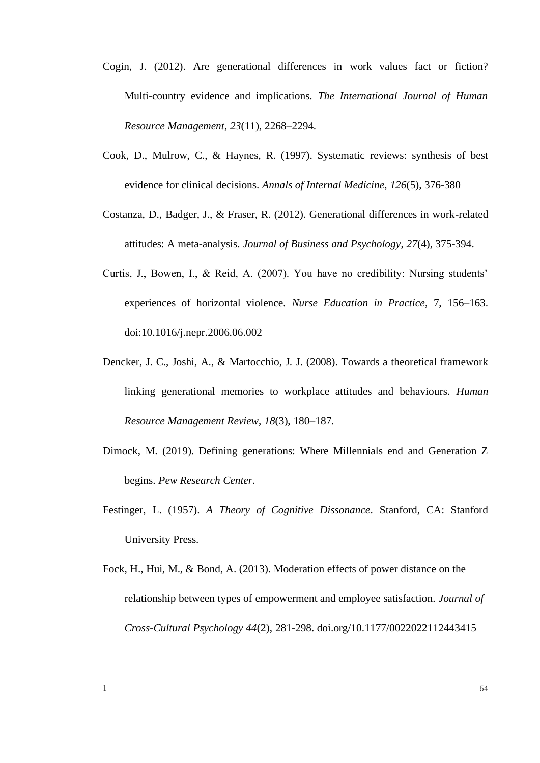- Cogin, J. (2012). Are generational differences in work values fact or fiction? Multi-country evidence and implications. *The International Journal of Human Resource Management*, *23*(11), 2268–2294.
- Cook, D., Mulrow, C., & Haynes, R. (1997). Systematic reviews: synthesis of best evidence for clinical decisions. *Annals of Internal Medicine*, *126*(5), 376-380
- Costanza, D., Badger, J., & Fraser, R. (2012). Generational differences in work-related attitudes: A meta-analysis. *Journal of Business and Psychology*, *27*(4), 375-394.
- Curtis, J., Bowen, I., & Reid, A. (2007). You have no credibility: Nursing students' experiences of horizontal violence. *Nurse Education in Practice*, 7, 156–163. doi:10.1016/j.nepr.2006.06.002
- Dencker, J. C., Joshi, A., & Martocchio, J. J. (2008). Towards a theoretical framework linking generational memories to workplace attitudes and behaviours. *Human Resource Management Review*, *18*(3), 180–187.
- Dimock, M. (2019). Defining generations: Where Millennials end and Generation Z begins. *Pew Research Center*.
- Festinger, L. (1957). *A Theory of Cognitive Dissonance*. Stanford, CA: Stanford University Press.
- Fock, H., Hui, M., & Bond, A. (2013). Moderation effects of power distance on the relationship between types of empowerment and employee satisfaction*. Journal of Cross-Cultural Psychology 44*(2), 281-298. doi.org/10.1177/0022022112443415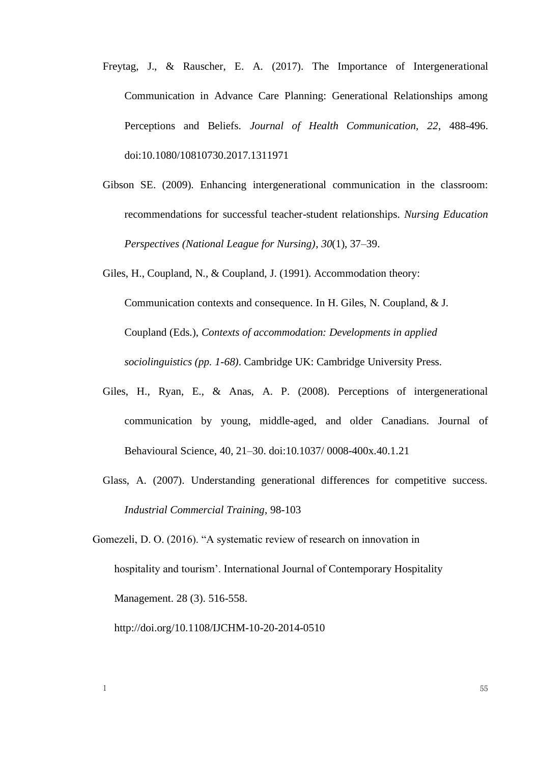- Freytag, J., & Rauscher, E. A. (2017). The Importance of Intergenerational Communication in Advance Care Planning: Generational Relationships among Perceptions and Beliefs. *Journal of Health Communication, 22*, 488-496. doi:10.1080/10810730.2017.1311971
- Gibson SE. (2009). Enhancing intergenerational communication in the classroom: recommendations for successful teacher-student relationships. *Nursing Education Perspectives (National League for Nursing)*, *30*(1), 37–39.

Giles, H., Coupland, N., & Coupland, J. (1991). Accommodation theory: Communication contexts and consequence. In H. Giles, N. Coupland, & J. Coupland (Eds.), *Contexts of accommodation: Developments in applied sociolinguistics (pp. 1-68)*. Cambridge UK: Cambridge University Press.

- Giles, H., Ryan, E., & Anas, A. P. (2008). Perceptions of intergenerational communication by young, middle-aged, and older Canadians. Journal of Behavioural Science, 40, 21–30. doi:10.1037/ 0008-400x.40.1.21
- Glass, A. (2007). Understanding generational differences for competitive success. *Industrial Commercial Training*, 98-103

Gomezeli, D. O. (2016). "A systematic review of research on innovation in hospitality and tourism'. International Journal of Contemporary Hospitality Management. 28 (3). 516-558.

http://doi.org/10.1108/IJCHM-10-20-2014-0510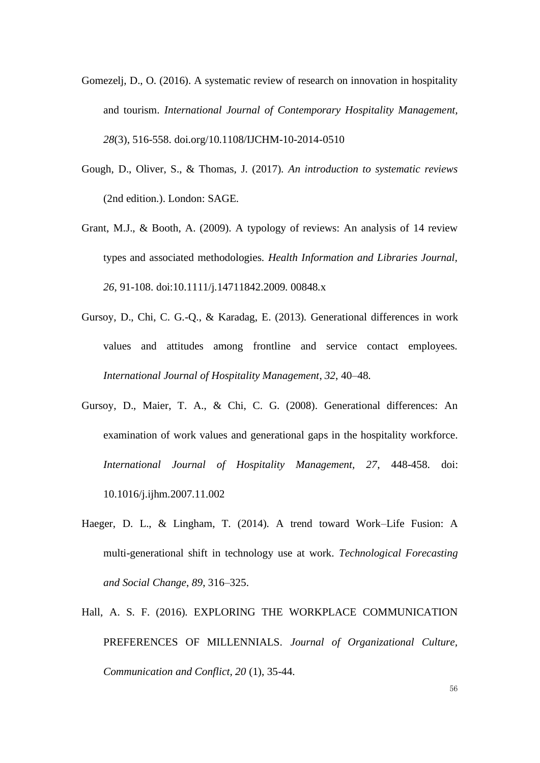- Gomezelj, D., O. (2016). A systematic review of research on innovation in hospitality and tourism. *International Journal of Contemporary Hospitality Management, 28*(3), 516-558. [doi.org/10.1108/IJCHM-10-2014-0510](about:blank)
- Gough, D., Oliver, S., & Thomas, J. (2017). *An introduction to systematic reviews* (2nd edition.). London: SAGE.
- Grant, M.J., & Booth, A. (2009). A typology of reviews: An analysis of 14 review types and associated methodologies. *Health Information and Libraries Journal, 26*, 91-108. doi:10.1111/j.14711842.2009. 00848.x
- Gursoy, D., Chi, C. G.-Q., & Karadag, E. (2013). Generational differences in work values and attitudes among frontline and service contact employees. *International Journal of Hospitality Management*, *32*, 40–48.
- Gursoy, D., Maier, T. A., & Chi, C. G. (2008). Generational differences: An examination of work values and generational gaps in the hospitality workforce. *International Journal of Hospitality Management, 27*, 448-458. doi: 10.1016/j.ijhm.2007.11.002
- Haeger, D. L., & Lingham, T. (2014). A trend toward Work–Life Fusion: A multi-generational shift in technology use at work. *Technological Forecasting and Social Change*, *89*, 316–325.
- Hall, A. S. F. (2016). EXPLORING THE WORKPLACE COMMUNICATION PREFERENCES OF MILLENNIALS. *Journal of Organizational Culture, Communication and Conflict, 20* (1), 35-44.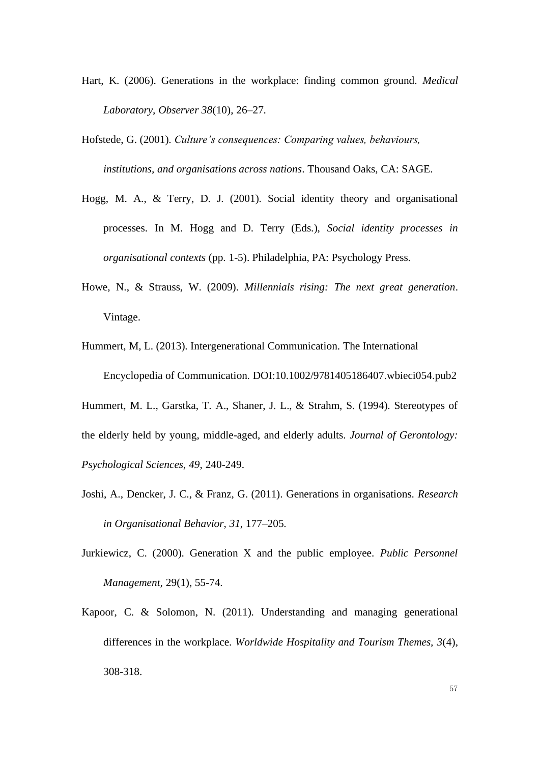- Hart, K. (2006). Generations in the workplace: finding common ground. *Medical Laboratory, Observer 38*(10), 26–27.
- Hofstede, G. (2001). *Culture's consequences: Comparing values, behaviours, institutions, and organisations across nations*. Thousand Oaks, CA: SAGE.
- Hogg, M. A., & Terry, D. J. (2001). Social identity theory and organisational processes. In M. Hogg and D. Terry (Eds.), *Social identity processes in organisational contexts* (pp. 1-5). Philadelphia, PA: Psychology Press.
- Howe, N., & Strauss, W. (2009). *Millennials rising: The next great generation*. Vintage.
- Hummert, M, L. (2013). Intergenerational Communication. The International Encyclopedia of Communication. DOI:10.1002/9781405186407.wbieci054.pub2
- Hummert, M. L., Garstka, T. A., Shaner, J. L., & Strahm, S. (1994). Stereotypes of the elderly held by young, middle-aged, and elderly adults. *Journal of Gerontology: Psychological Sciences, 49*, 240-249.
- Joshi, A., Dencker, J. C., & Franz, G. (2011). Generations in organisations. *Research in Organisational Behavior*, *31*, 177–205.
- Jurkiewicz, C. (2000). Generation X and the public employee. *Public Personnel Management,* 29(1), 55-74.
- Kapoor, C. & Solomon, N. (2011). Understanding and managing generational differences in the workplace. *Worldwide Hospitality and Tourism Themes, 3*(4), 308-318.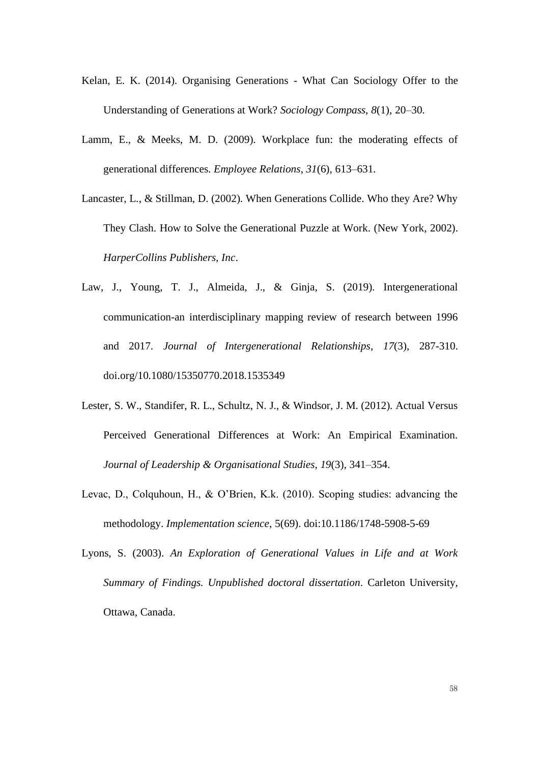- Kelan, E. K. (2014). Organising Generations What Can Sociology Offer to the Understanding of Generations at Work? *Sociology Compass*, *8*(1), 20–30.
- Lamm, E., & Meeks, M. D. (2009). Workplace fun: the moderating effects of generational differences. *Employee Relations*, *31*(6), 613–631.
- Lancaster, L., & Stillman, D. (2002). When Generations Collide. Who they Are? Why They Clash. How to Solve the Generational Puzzle at Work. (New York, 2002). *HarperCollins Publishers, Inc*.
- Law, J., Young, T. J., Almeida, J., & Ginja, S. (2019). Intergenerational communication-an interdisciplinary mapping review of research between 1996 and 2017. *Journal of Intergenerational Relationships*, *17*(3), 287-310. doi.org/10.1080/15350770.2018.1535349
- Lester, S. W., Standifer, R. L., Schultz, N. J., & Windsor, J. M. (2012). Actual Versus Perceived Generational Differences at Work: An Empirical Examination. *Journal of Leadership & Organisational Studies*, *19*(3), 341–354.
- Levac, D., Colquhoun, H., & O'Brien, K.k. (2010). Scoping studies: advancing the methodology. *Implementation science*, 5(69). doi:10.1186/1748-5908-5-69
- Lyons, S. (2003). *An Exploration of Generational Values in Life and at Work Summary of Findings*. *Unpublished doctoral dissertation*. Carleton University, Ottawa, Canada.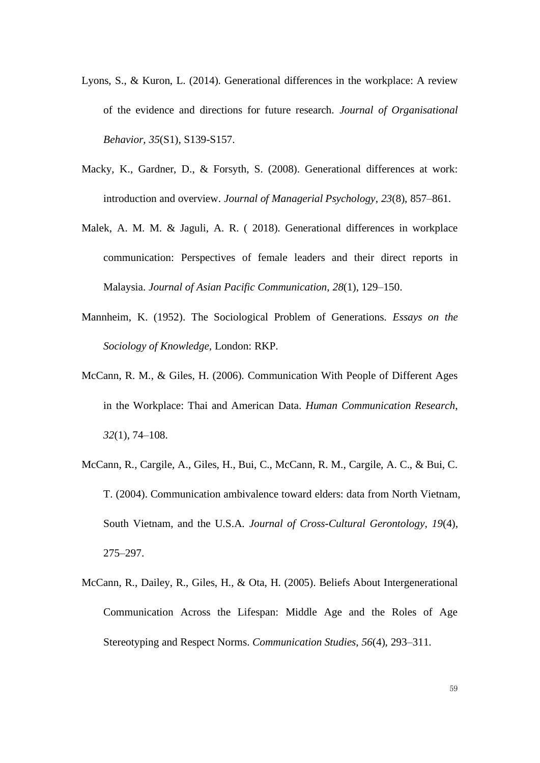- Lyons, S., & Kuron, L. (2014). Generational differences in the workplace: A review of the evidence and directions for future research. *Journal of Organisational Behavior*, *35*(S1), S139-S157.
- Macky, K., Gardner, D., & Forsyth, S. (2008). Generational differences at work: introduction and overview. *Journal of Managerial Psychology*, *23*(8), 857–861.
- Malek, A. M. M. & Jaguli, A. R. ( 2018). Generational differences in workplace communication: Perspectives of female leaders and their direct reports in Malaysia. *Journal of Asian Pacific Communication*, *28*(1), 129–150.
- Mannheim, K. (1952). The Sociological Problem of Generations. *Essays on the Sociology of Knowledge,* London: RKP.
- McCann, R. M., & Giles, H. (2006). Communication With People of Different Ages in the Workplace: Thai and American Data. *Human Communication Research*, *32*(1), 74–108.
- McCann, R., Cargile, A., Giles, H., Bui, C., McCann, R. M., Cargile, A. C., & Bui, C. T. (2004). Communication ambivalence toward elders: data from North Vietnam, South Vietnam, and the U.S.A. *Journal of Cross-Cultural Gerontology*, *19*(4), 275–297.
- McCann, R., Dailey, R., Giles, H., & Ota, H. (2005). Beliefs About Intergenerational Communication Across the Lifespan: Middle Age and the Roles of Age Stereotyping and Respect Norms. *Communication Studies*, *56*(4), 293–311.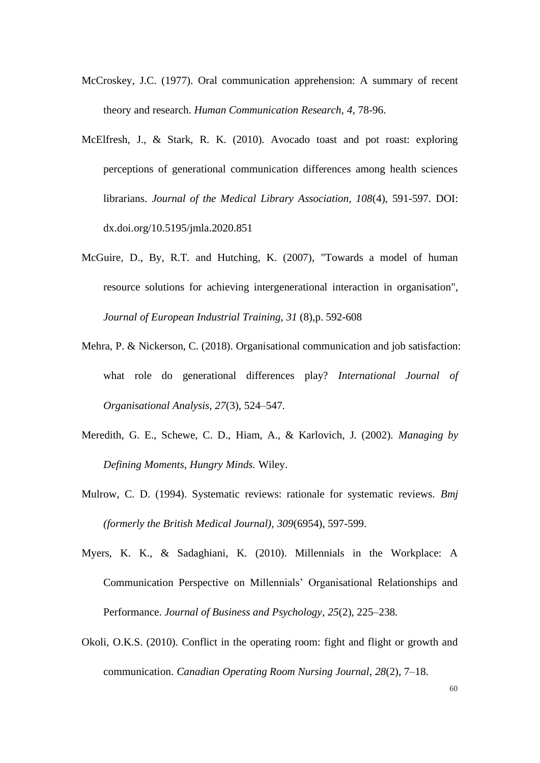- McCroskey, J.C. (1977). Oral communication apprehension: A summary of recent theory and research. *Human Communication Research*, *4*, 78-96.
- McElfresh, J., & Stark, R. K. (2010). Avocado toast and pot roast: exploring perceptions of generational communication differences among health sciences librarians. *Journal of the Medical Library Association, 108*(4), 591-597. DOI: dx.doi.org/10.5195/jmla.2020.851
- McGuire, D., By, R.T. and Hutching, K. (2007), "Towards a model of human resource solutions for achieving intergenerational interaction in organisation", *Journal of European Industrial Training*, *31* (8),p. 592-608
- Mehra, P. & Nickerson, C. (2018). Organisational communication and job satisfaction: what role do generational differences play? *International Journal of Organisational Analysis, 27*(3), 524–547.
- Meredith, G. E., Schewe, C. D., Hiam, A., & Karlovich, J. (2002). *Managing by Defining Moments, Hungry Minds.* Wiley.
- Mulrow, C. D. (1994). Systematic reviews: rationale for systematic reviews. *Bmj (formerly the British Medical Journal)*, *309*(6954), 597-599.
- Myers, K. K., & Sadaghiani, K. (2010). Millennials in the Workplace: A Communication Perspective on Millennials' Organisational Relationships and Performance. *Journal of Business and Psychology*, *25*(2), 225–238.
- Okoli, O.K.S. (2010). Conflict in the operating room: fight and flight or growth and communication. *Canadian Operating Room Nursing Journal*, *28*(2), 7–18.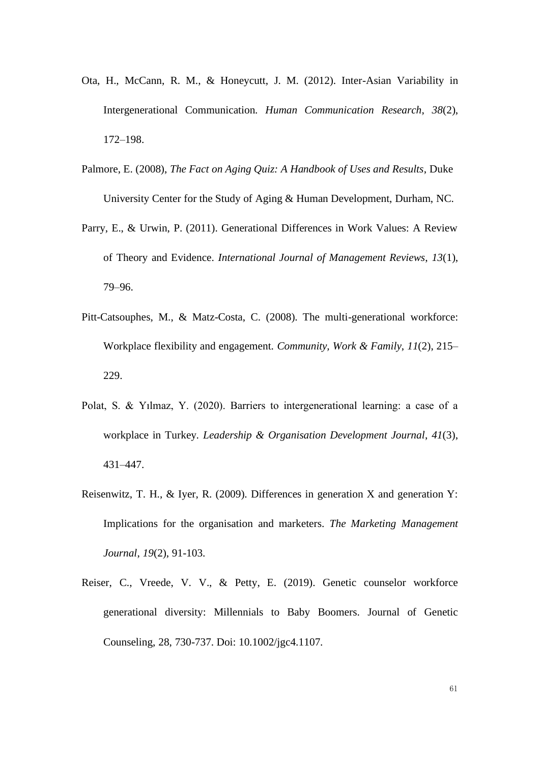- Ota, H., McCann, R. M., & Honeycutt, J. M. (2012). Inter-Asian Variability in Intergenerational Communication. *Human Communication Research*, *38*(2), 172–198.
- Palmore, E. (2008), *The Fact on Aging Quiz: A Handbook of Uses and Results*, Duke University Center for the Study of Aging & Human Development, Durham, NC.
- Parry, E., & Urwin, P. (2011). Generational Differences in Work Values: A Review of Theory and Evidence. *International Journal of Management Reviews*, *13*(1), 79–96.
- Pitt-Catsouphes, M., & Matz-Costa, C. (2008). The multi-generational workforce: Workplace flexibility and engagement. *Community, Work & Family*, *11*(2), 215– 229.
- Polat, S. & Yılmaz, Y. (2020). Barriers to intergenerational learning: a case of a workplace in Turkey. *Leadership & Organisation Development Journal*, *41*(3), 431–447.
- Reisenwitz, T. H., & Iyer, R. (2009). Differences in generation X and generation Y: Implications for the organisation and marketers. *The Marketing Management Journal*, *19*(2), 91-103.
- Reiser, C., Vreede, V. V., & Petty, E. (2019). Genetic counselor workforce generational diversity: Millennials to Baby Boomers. Journal of Genetic Counseling, 28, 730-737. Doi: 10.1002/jgc4.1107.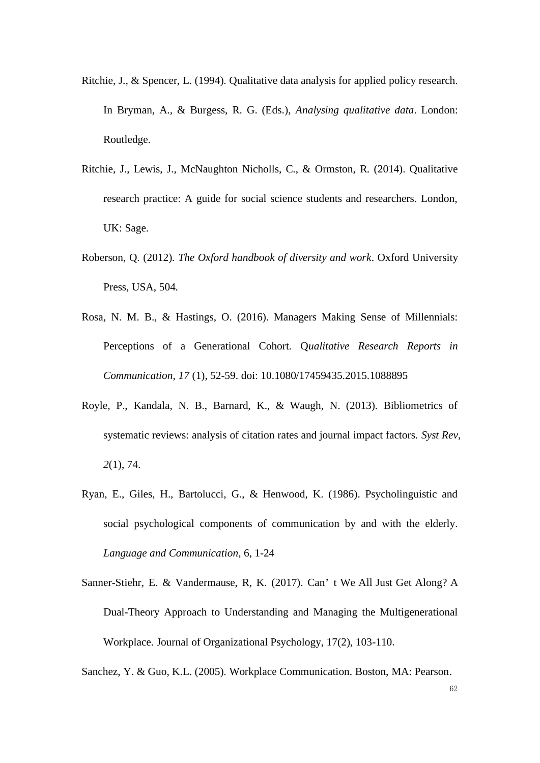- Ritchie, J., & Spencer, L. (1994). Qualitative data analysis for applied policy research. In Bryman, A., & Burgess, R. G. (Eds.), *Analysing qualitative data*. London: Routledge.
- Ritchie, J., Lewis, J., McNaughton Nicholls, C., & Ormston, R. (2014). Qualitative research practice: A guide for social science students and researchers. London, UK: Sage.
- Roberson, Q. (2012). *The Oxford handbook of diversity and work*. Oxford University Press, USA, 504.
- Rosa, N. M. B., & Hastings, O. (2016). Managers Making Sense of Millennials: Perceptions of a Generational Cohort. Q*ualitative Research Reports in Communication, 17* (1), 52-59. doi: 10.1080/17459435.2015.1088895
- Royle, P., Kandala, N. B., Barnard, K., & Waugh, N. (2013). Bibliometrics of systematic reviews: analysis of citation rates and journal impact factors. *Syst Rev*, *2*(1), 74.
- Ryan, E., Giles, H., Bartolucci, G., & Henwood, K. (1986). Psycholinguistic and social psychological components of communication by and with the elderly. *Language and Communication*, 6, 1-24
- Sanner-Stiehr, E. & Vandermause, R, K. (2017). Can' t We All Just Get Along? A Dual-Theory Approach to Understanding and Managing the Multigenerational Workplace. Journal of Organizational Psychology, 17(2), 103-110.

Sanchez, Y. & Guo, K.L. (2005). Workplace Communication. Boston, MA: Pearson.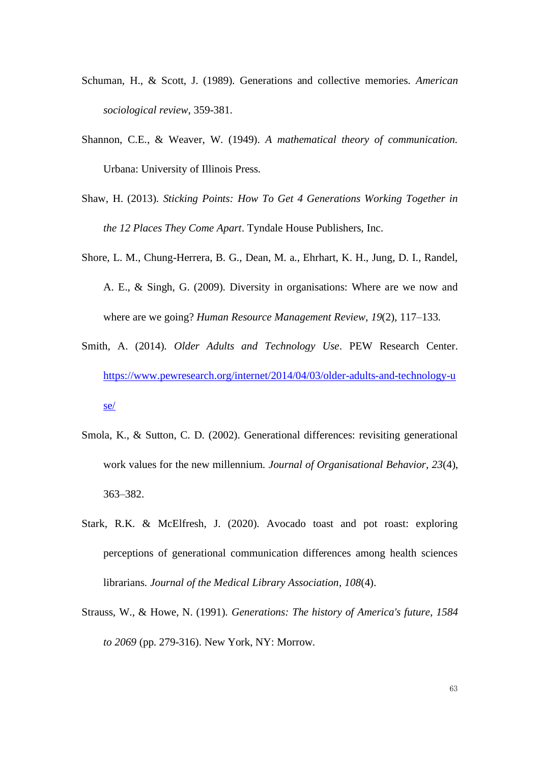- Schuman, H., & Scott, J. (1989). Generations and collective memories. *American sociological review*, 359-381.
- Shannon, C.E., & Weaver, W. (1949). *A mathematical theory of communication.*  Urbana: University of Illinois Press.
- Shaw, H. (2013). *Sticking Points: How To Get 4 Generations Working Together in the 12 Places They Come Apart*. Tyndale House Publishers, Inc.
- Shore, L. M., Chung-Herrera, B. G., Dean, M. a., Ehrhart, K. H., Jung, D. I., Randel, A. E., & Singh, G. (2009). Diversity in organisations: Where are we now and where are we going? *Human Resource Management Review*, *19*(2), 117–133.
- Smith, A. (2014). *Older Adults and Technology Use*. PEW Research Center. [https://www.pewresearch.org/internet/2014/04/03/older-adults-and-technology-u](https://www.pewresearch.org/internet/2014/04/03/older-adults-and-technology-use/) [se/](https://www.pewresearch.org/internet/2014/04/03/older-adults-and-technology-use/)
- Smola, K., & Sutton, C. D. (2002). Generational differences: revisiting generational work values for the new millennium. *Journal of Organisational Behavior*, *23*(4), 363–382.
- Stark, R.K. & McElfresh, J. (2020). Avocado toast and pot roast: exploring perceptions of generational communication differences among health sciences librarians. *Journal of the Medical Library Association*, *108*(4).
- Strauss, W., & Howe, N. (1991). *Generations: The history of America's future, 1584 to 2069* (pp. 279-316). New York, NY: Morrow.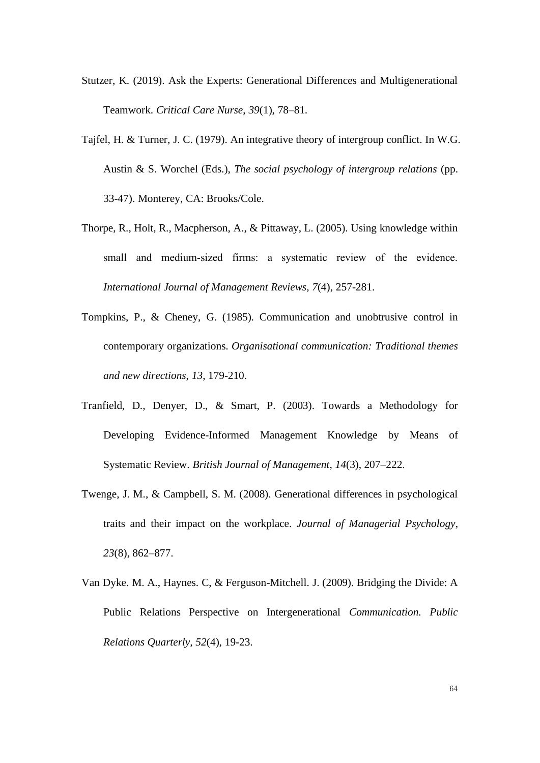- Stutzer, K. (2019). Ask the Experts: Generational Differences and Multigenerational Teamwork. *Critical Care Nurse*, *39*(1), 78–81.
- Tajfel, H. & Turner, J. C. (1979). An integrative theory of intergroup conflict. In W.G. Austin & S. Worchel (Eds.), *The social psychology of intergroup relations* (pp. 33-47). Monterey, CA: Brooks/Cole.
- Thorpe, R., Holt, R., Macpherson, A., & Pittaway, L. (2005). Using knowledge within small and medium-sized firms: a systematic review of the evidence. *International Journal of Management Reviews*, *7*(4), 257-281.
- Tompkins, P., & Cheney, G. (1985). Communication and unobtrusive control in contemporary organizations. *Organisational communication: Traditional themes and new directions*, *13*, 179-210.
- Tranfield, D., Denyer, D., & Smart, P. (2003). Towards a Methodology for Developing Evidence-Informed Management Knowledge by Means of Systematic Review. *British Journal of Management*, *14*(3), 207–222.
- Twenge, J. M., & Campbell, S. M. (2008). Generational differences in psychological traits and their impact on the workplace. *Journal of Managerial Psychology*, *23*(8), 862–877.
- Van Dyke. M. A., Haynes. C, & Ferguson-Mitchell. J. (2009). Bridging the Divide: A Public Relations Perspective on Intergenerational *Communication. Public Relations Quarterly, 52*(4), 19-23.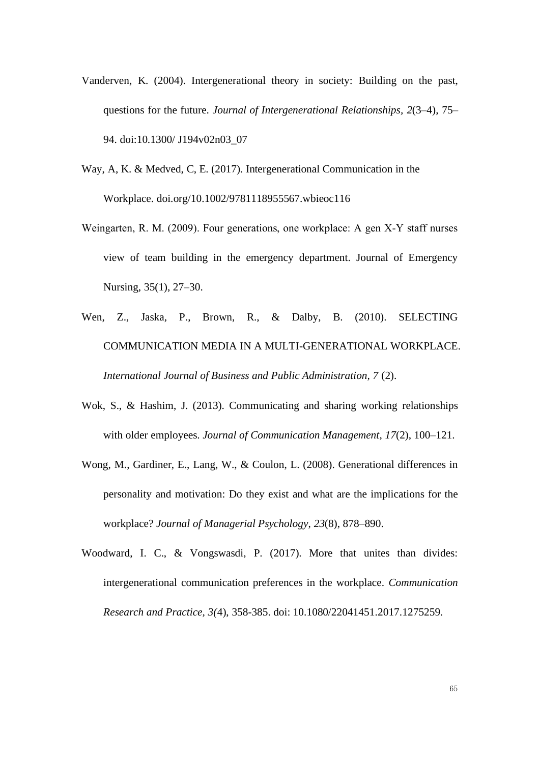- Vanderven, K. (2004). Intergenerational theory in society: Building on the past, questions for the future. *Journal of Intergenerational Relationships, 2*(3–4), 75– 94. doi:10.1300/ J194v02n03\_07
- Way, A, K. & Medved, C, E. (2017). Intergenerational Communication in the Workplace. doi.org/10.1002/9781118955567.wbieoc116
- Weingarten, R. M. (2009). Four generations, one workplace: A gen X‐Y staff nurses view of team building in the emergency department. Journal of Emergency Nursing, 35(1), 27–30.
- Wen, Z., Jaska, P., Brown, R., & Dalby, B. (2010). SELECTING COMMUNICATION MEDIA IN A MULTI-GENERATIONAL WORKPLACE. *International Journal of Business and Public Administration, 7* (2).
- Wok, S., & Hashim, J. (2013). Communicating and sharing working relationships with older employees. *Journal of Communication Management*, *17*(2), 100–121.
- Wong, M., Gardiner, E., Lang, W., & Coulon, L. (2008). Generational differences in personality and motivation: Do they exist and what are the implications for the workplace? *Journal of Managerial Psychology*, *23*(8), 878–890.
- Woodward, I. C., & Vongswasdi, P. (2017). More that unites than divides: intergenerational communication preferences in the workplace. *Communication Research and Practice, 3(*4), 358-385. doi: 10.1080/22041451.2017.1275259.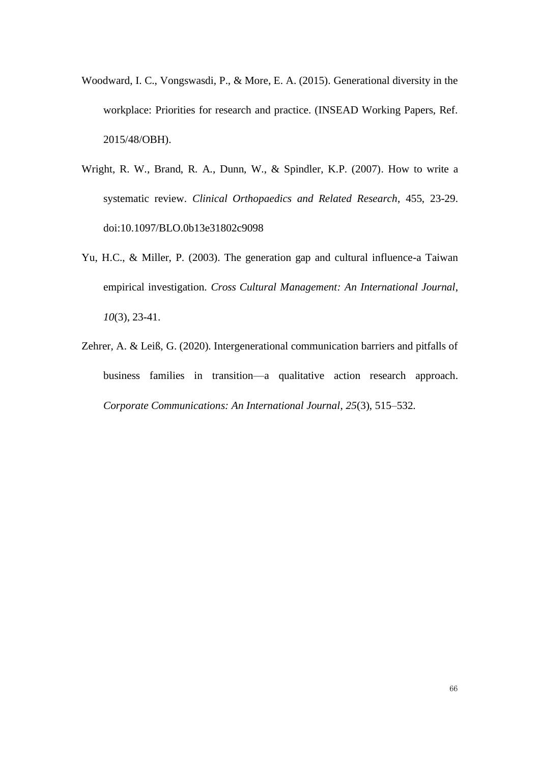- Woodward, I. C., Vongswasdi, P., & More, E. A. (2015). Generational diversity in the workplace: Priorities for research and practice. (INSEAD Working Papers, Ref. 2015/48/OBH).
- Wright, R. W., Brand, R. A., Dunn, W., & Spindler, K.P. (2007). How to write a systematic review. *Clinical Orthopaedics and Related Research*, 455, 23-29. doi:10.1097/BLO.0b13e31802c9098
- Yu, H.C., & Miller, P. (2003). The generation gap and cultural influence-a Taiwan empirical investigation. *Cross Cultural Management: An International Journal*, *10*(3), 23-41.
- Zehrer, A. & Leiß, G. (2020). Intergenerational communication barriers and pitfalls of business families in transition—a qualitative action research approach. *Corporate Communications: An International Journal*, *25*(3), 515–532.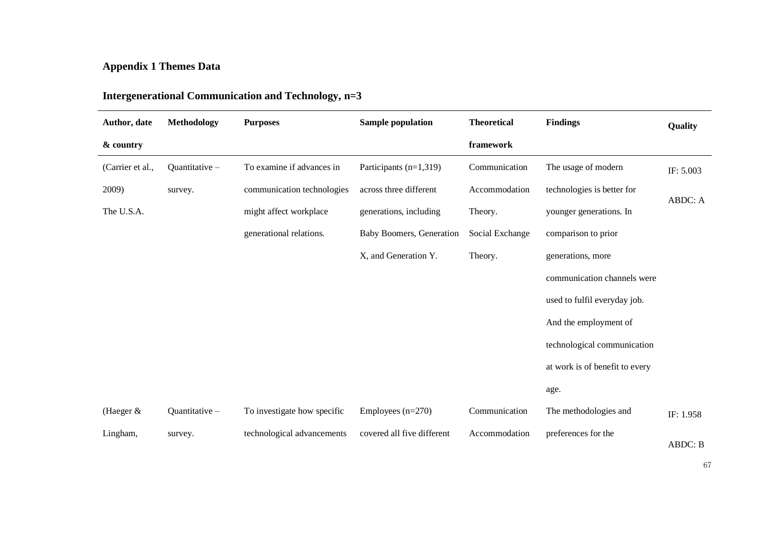# **Appendix 1 Themes Data**

| Author, date     | Methodology   | <b>Purposes</b>             | <b>Sample population</b>        | <b>Theoretical</b> | <b>Findings</b>                | Quality   |
|------------------|---------------|-----------------------------|---------------------------------|--------------------|--------------------------------|-----------|
| & country        |               |                             |                                 | framework          |                                |           |
| (Carrier et al., | Quantitative- | To examine if advances in   | Participants $(n=1,319)$        | Communication      | The usage of modern            | IF: 5.003 |
| 2009)            | survey.       | communication technologies  | across three different          | Accommodation      | technologies is better for     |           |
| The U.S.A.       |               | might affect workplace      | generations, including          | Theory.            | younger generations. In        | ABDC: A   |
|                  |               | generational relations.     | <b>Baby Boomers, Generation</b> | Social Exchange    | comparison to prior            |           |
|                  |               |                             | X, and Generation Y.            | Theory.            | generations, more              |           |
|                  |               |                             |                                 |                    | communication channels were    |           |
|                  |               |                             |                                 |                    | used to fulfil everyday job.   |           |
|                  |               |                             |                                 |                    | And the employment of          |           |
|                  |               |                             |                                 |                    | technological communication    |           |
|                  |               |                             |                                 |                    | at work is of benefit to every |           |
|                  |               |                             |                                 |                    | age.                           |           |
| (Haeger $&$      | Quantitative- | To investigate how specific | Employees $(n=270)$             | Communication      | The methodologies and          | IF: 1.958 |
| Lingham,         | survey.       | technological advancements  | covered all five different      | Accommodation      | preferences for the            | ABDC: B   |

# **Intergenerational Communication and Technology, n=3**

67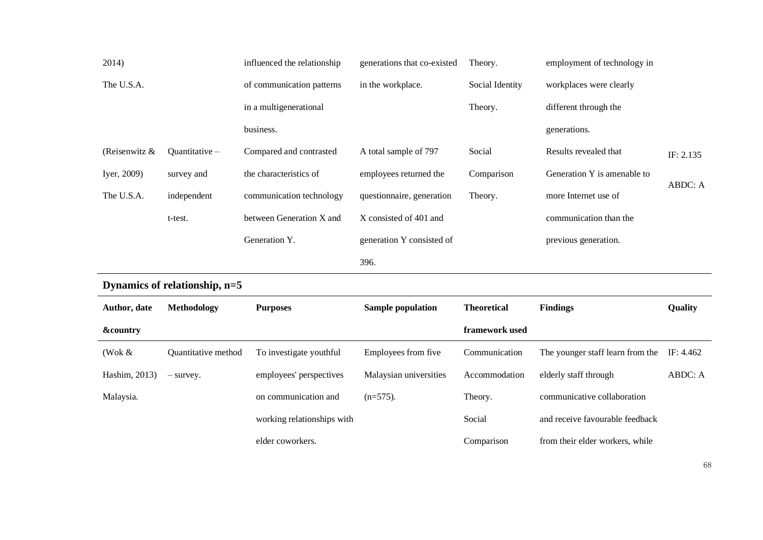| 2014)               |                               | influenced the relationship | generations that co-existed | Theory.            | employment of technology in      |           |
|---------------------|-------------------------------|-----------------------------|-----------------------------|--------------------|----------------------------------|-----------|
| The U.S.A.          |                               | of communication patterns   | in the workplace.           | Social Identity    | workplaces were clearly          |           |
|                     |                               | in a multigenerational      |                             | Theory.            | different through the            |           |
|                     |                               | business.                   |                             |                    | generations.                     |           |
| (Reisenwitz &       | Quantitative-                 | Compared and contrasted     | A total sample of 797       | Social             | Results revealed that            | IF: 2.135 |
| Iyer, 2009)         | survey and                    | the characteristics of      | employees returned the      | Comparison         | Generation Y is amenable to      | ABDC: A   |
| The U.S.A.          | independent                   | communication technology    | questionnaire, generation   | Theory.            | more Internet use of             |           |
|                     | t-test.                       | between Generation X and    | X consisted of 401 and      |                    | communication than the           |           |
|                     |                               | Generation Y.               | generation Y consisted of   |                    | previous generation.             |           |
|                     |                               |                             | 396.                        |                    |                                  |           |
|                     | Dynamics of relationship, n=5 |                             |                             |                    |                                  |           |
| Author, date        | Methodology                   | <b>Purposes</b>             | <b>Sample population</b>    | <b>Theoretical</b> | <b>Findings</b>                  | Quality   |
| <b>&amp;country</b> |                               |                             |                             | framework used     |                                  |           |
| (Wok $&$            | Quantitative method           | To investigate youthful     | Employees from five         | Communication      | The younger staff learn from the | IF: 4.462 |
| Hashim, 2013)       | - survey.                     | employees' perspectives     | Malaysian universities      | Accommodation      | elderly staff through            | ABDC: A   |
| Malaysia.           |                               | on communication and        | $(n=575)$ .                 | Theory.            | communicative collaboration      |           |
|                     |                               | working relationships with  |                             | Social             | and receive favourable feedback  |           |
|                     |                               | elder coworkers.            |                             | Comparison         | from their elder workers, while  |           |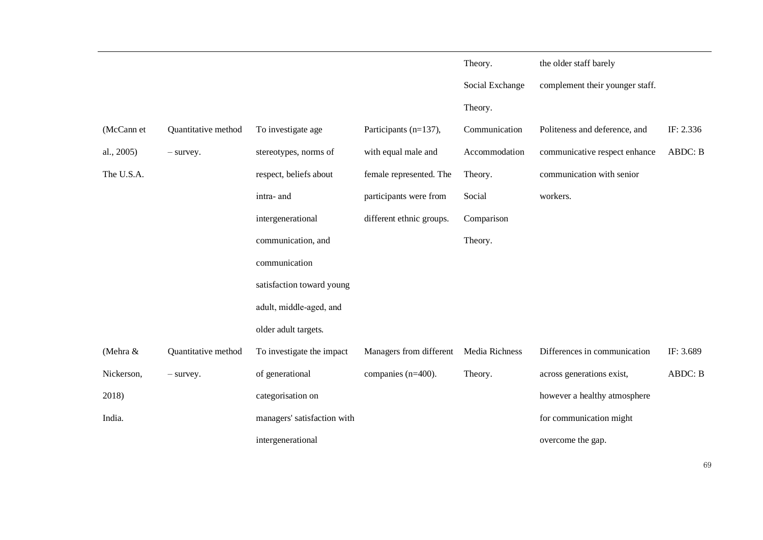|            |                     |                             |                                        | Theory.         | the older staff barely          |                |
|------------|---------------------|-----------------------------|----------------------------------------|-----------------|---------------------------------|----------------|
|            |                     |                             |                                        | Social Exchange | complement their younger staff. |                |
|            |                     |                             |                                        | Theory.         |                                 |                |
| (McCann et | Quantitative method | To investigate age          | Participants (n=137),                  | Communication   | Politeness and deference, and   | IF: 2.336      |
| al., 2005) | $-$ survey.         | stereotypes, norms of       | with equal male and                    | Accommodation   | communicative respect enhance   | ABDC: B        |
| The U.S.A. |                     | respect, beliefs about      | female represented. The                | Theory.         | communication with senior       |                |
|            |                     | intra- and                  | participants were from                 | Social          | workers.                        |                |
|            |                     | intergenerational           | different ethnic groups.               | Comparison      |                                 |                |
|            |                     | communication, and          |                                        | Theory.         |                                 |                |
|            |                     | communication               |                                        |                 |                                 |                |
|            |                     | satisfaction toward young   |                                        |                 |                                 |                |
|            |                     | adult, middle-aged, and     |                                        |                 |                                 |                |
|            |                     | older adult targets.        |                                        |                 |                                 |                |
| (Mehra &   | Quantitative method | To investigate the impact   | Managers from different Media Richness |                 | Differences in communication    | IF: 3.689      |
| Nickerson, | $-$ survey.         | of generational             | companies (n=400).                     | Theory.         | across generations exist,       | <b>ABDC: B</b> |
| 2018)      |                     | categorisation on           |                                        |                 | however a healthy atmosphere    |                |
| India.     |                     | managers' satisfaction with |                                        |                 | for communication might         |                |
|            |                     | intergenerational           |                                        |                 | overcome the gap.               |                |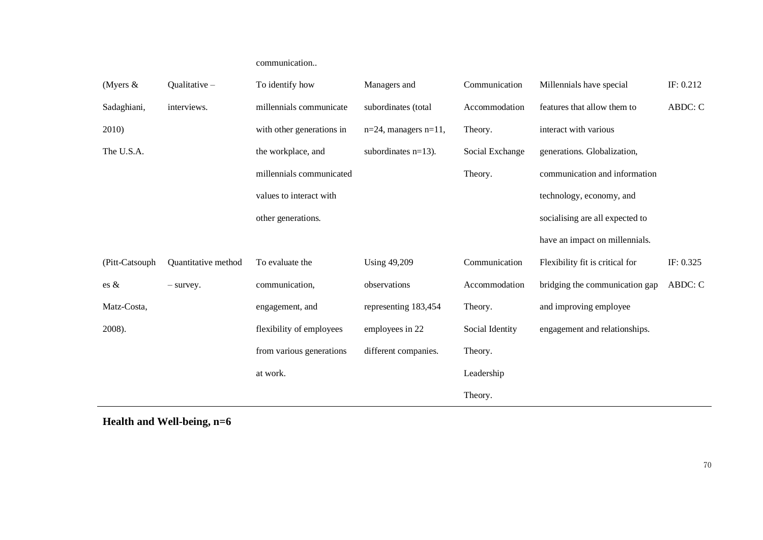# communication..

| (Myers $\&$     | Qualitative -       | To identify how           | Managers and               | Communication   | Millennials have special        | IF: 0.212 |
|-----------------|---------------------|---------------------------|----------------------------|-----------------|---------------------------------|-----------|
| Sadaghiani,     | interviews.         | millennials communicate   | subordinates (total        | Accommodation   | features that allow them to     | ABDC: C   |
| 2010)           |                     | with other generations in | $n=24$ , managers $n=11$ , | Theory.         | interact with various           |           |
| The U.S.A.      |                     | the workplace, and        | subordinates $n=13$ ).     | Social Exchange | generations. Globalization,     |           |
|                 |                     | millennials communicated  |                            | Theory.         | communication and information   |           |
|                 |                     | values to interact with   |                            |                 | technology, economy, and        |           |
|                 |                     | other generations.        |                            |                 | socialising are all expected to |           |
|                 |                     |                           |                            |                 | have an impact on millennials.  |           |
| (Pitt-Catsouph  | Quantitative method | To evaluate the           | <b>Using 49,209</b>        | Communication   | Flexibility fit is critical for | IF: 0.325 |
| $\text{es } \&$ | $-$ survey.         | communication,            | observations               | Accommodation   | bridging the communication gap  | ABDC: C   |
| Matz-Costa,     |                     | engagement, and           | representing 183,454       | Theory.         | and improving employee          |           |
| 2008).          |                     | flexibility of employees  | employees in 22            | Social Identity | engagement and relationships.   |           |
|                 |                     | from various generations  | different companies.       | Theory.         |                                 |           |
|                 |                     | at work.                  |                            | Leadership      |                                 |           |
|                 |                     |                           |                            | Theory.         |                                 |           |

**Health and Well-being, n=6**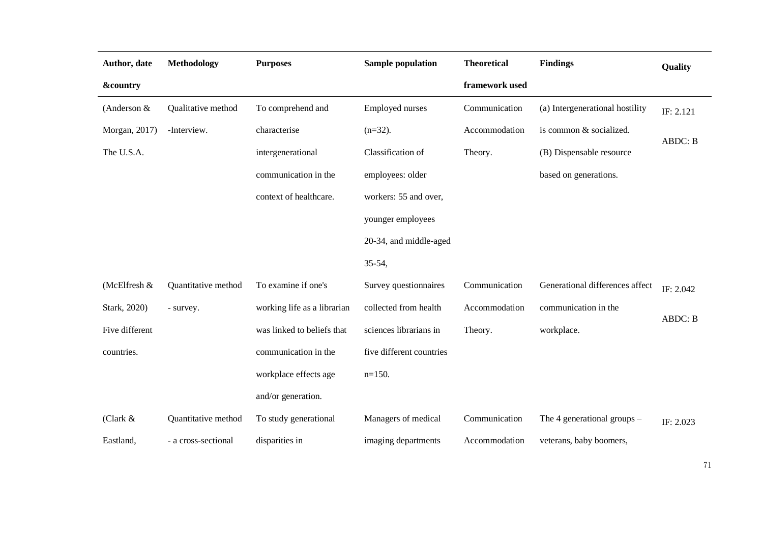| Author, date        | <b>Methodology</b>  | <b>Purposes</b>             | <b>Sample population</b> | <b>Theoretical</b> | <b>Findings</b>                 | Quality        |
|---------------------|---------------------|-----------------------------|--------------------------|--------------------|---------------------------------|----------------|
| <b>&amp;country</b> |                     |                             |                          | framework used     |                                 |                |
| (Anderson $&$       | Qualitative method  | To comprehend and           | <b>Employed nurses</b>   | Communication      | (a) Intergenerational hostility | IF: 2.121      |
| Morgan, 2017)       | -Interview.         | characterise                | $(n=32)$ .               | Accommodation      | is common & socialized.         |                |
| The U.S.A.          |                     | intergenerational           | Classification of        | Theory.            | (B) Dispensable resource        | <b>ABDC: B</b> |
|                     |                     | communication in the        | employees: older         |                    | based on generations.           |                |
|                     |                     | context of healthcare.      | workers: 55 and over,    |                    |                                 |                |
|                     |                     |                             | younger employees        |                    |                                 |                |
|                     |                     |                             | 20-34, and middle-aged   |                    |                                 |                |
|                     |                     |                             | $35 - 54$ ,              |                    |                                 |                |
| (McElfresh &        | Quantitative method | To examine if one's         | Survey questionnaires    | Communication      | Generational differences affect | IF: 2.042      |
| Stark, 2020)        | - survey.           | working life as a librarian | collected from health    | Accommodation      | communication in the            |                |
| Five different      |                     | was linked to beliefs that  | sciences librarians in   | Theory.            | workplace.                      | <b>ABDC: B</b> |
| countries.          |                     | communication in the        | five different countries |                    |                                 |                |
|                     |                     | workplace effects age       | $n=150$ .                |                    |                                 |                |
|                     |                     | and/or generation.          |                          |                    |                                 |                |
| (Clark $&$          | Quantitative method | To study generational       | Managers of medical      | Communication      | The 4 generational groups $-$   | IF: 2.023      |
| Eastland,           | - a cross-sectional | disparities in              | imaging departments      | Accommodation      | veterans, baby boomers,         |                |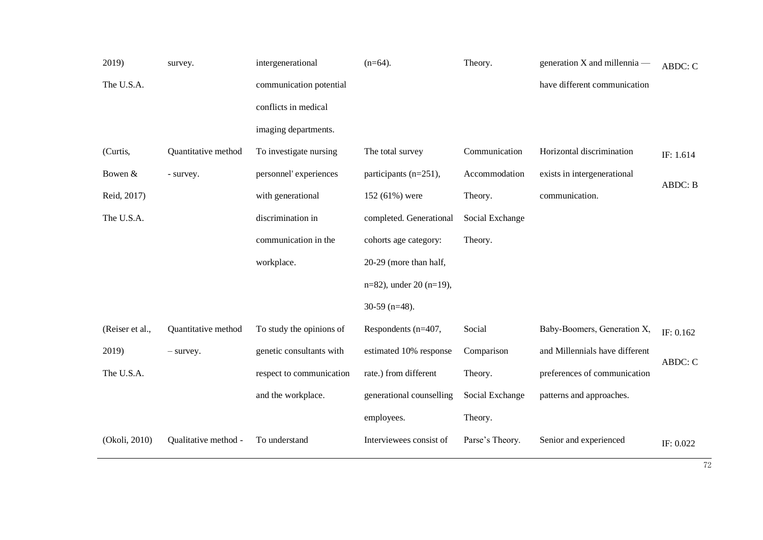| 2019)           | survey.              | intergenerational        | $(n=64)$ .               | Theory.         | generation X and millennia —   | ABDC: C   |
|-----------------|----------------------|--------------------------|--------------------------|-----------------|--------------------------------|-----------|
| The U.S.A.      |                      | communication potential  |                          |                 | have different communication   |           |
|                 |                      | conflicts in medical     |                          |                 |                                |           |
|                 |                      | imaging departments.     |                          |                 |                                |           |
| (Curtis,        | Quantitative method  | To investigate nursing   | The total survey         | Communication   | Horizontal discrimination      | IF: 1.614 |
| Bowen $&$       | - survey.            | personnel' experiences   | participants (n=251),    | Accommodation   | exists in intergenerational    | ABDC: B   |
| Reid, 2017)     |                      | with generational        | 152 (61%) were           | Theory.         | communication.                 |           |
| The U.S.A.      |                      | discrimination in        | completed. Generational  | Social Exchange |                                |           |
|                 |                      | communication in the     | cohorts age category:    | Theory.         |                                |           |
|                 |                      | workplace.               | 20-29 (more than half,   |                 |                                |           |
|                 |                      |                          | n=82), under 20 (n=19),  |                 |                                |           |
|                 |                      |                          | $30-59$ (n=48).          |                 |                                |           |
| (Reiser et al., | Quantitative method  | To study the opinions of | Respondents (n=407,      | Social          | Baby-Boomers, Generation X,    | IF: 0.162 |
| 2019)           | $-$ survey.          | genetic consultants with | estimated 10% response   | Comparison      | and Millennials have different | ABDC: C   |
| The U.S.A.      |                      | respect to communication | rate.) from different    | Theory.         | preferences of communication   |           |
|                 |                      | and the workplace.       | generational counselling | Social Exchange | patterns and approaches.       |           |
|                 |                      |                          | employees.               | Theory.         |                                |           |
| (Okoli, 2010)   | Qualitative method - | To understand            | Interviewees consist of  | Parse's Theory. | Senior and experienced         | IF: 0.022 |
|                 |                      |                          |                          |                 |                                |           |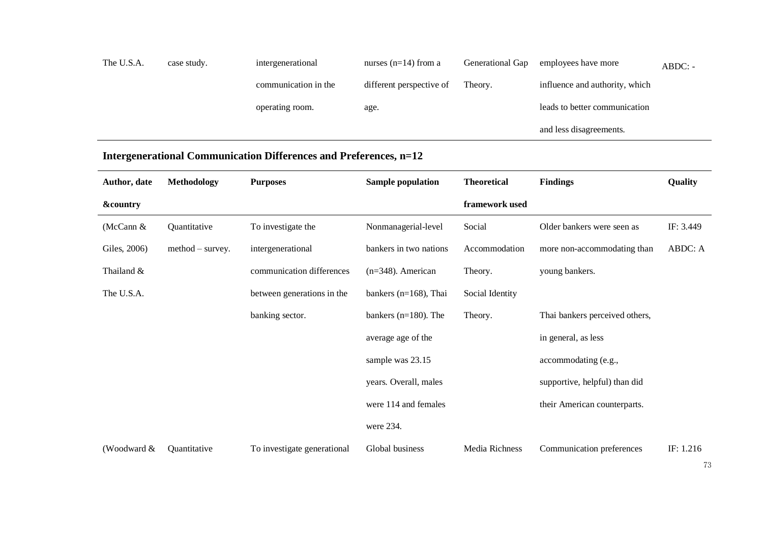| The U.S.A. | case study. | intergenerational    | nurses $(n=14)$ from a   | Generational Gap | employees have more            | $ABDC: -$ |
|------------|-------------|----------------------|--------------------------|------------------|--------------------------------|-----------|
|            |             | communication in the | different perspective of | Theory.          | influence and authority, which |           |
|            |             | operating room.      | age.                     |                  | leads to better communication  |           |
|            |             |                      |                          |                  | and less disagreements.        |           |

## **Intergenerational Communication Differences and Preferences, n=12**

| Author, date        | <b>Methodology</b> | <b>Purposes</b>             | Sample population         | <b>Theoretical</b> | <b>Findings</b>                | Quality   |
|---------------------|--------------------|-----------------------------|---------------------------|--------------------|--------------------------------|-----------|
| <b>&amp;country</b> |                    |                             |                           | framework used     |                                |           |
| (McCann $&$         | Quantitative       | To investigate the          | Nonmanagerial-level       | Social             | Older bankers were seen as     | IF: 3.449 |
| Giles, 2006)        | $method - survey.$ | intergenerational           | bankers in two nations    | Accommodation      | more non-accommodating than    | ABDC: A   |
| Thailand &          |                    | communication differences   | $(n=348)$ . American      | Theory.            | young bankers.                 |           |
| The U.S.A.          |                    | between generations in the  | bankers ( $n=168$ ), Thai | Social Identity    |                                |           |
|                     |                    | banking sector.             | bankers ( $n=180$ ). The  | Theory.            | Thai bankers perceived others, |           |
|                     |                    |                             | average age of the        |                    | in general, as less            |           |
|                     |                    |                             | sample was 23.15          |                    | accommodating (e.g.,           |           |
|                     |                    |                             | years. Overall, males     |                    | supportive, helpful) than did  |           |
|                     |                    |                             | were 114 and females      |                    | their American counterparts.   |           |
|                     |                    |                             | were 234.                 |                    |                                |           |
| (Woodward &         | Quantitative       | To investigate generational | Global business           | Media Richness     | Communication preferences      | IF: 1.216 |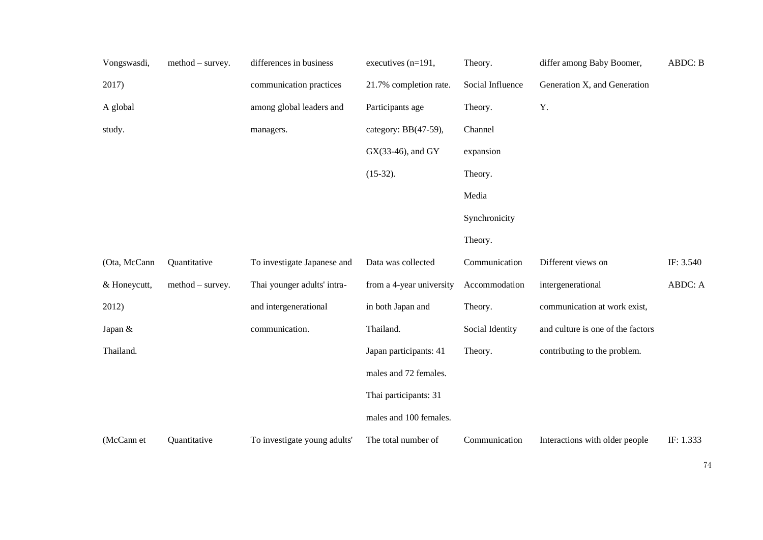| Vongswasdi,  | $method - survey.$ | differences in business      | executives (n=191,       | Theory.          | differ among Baby Boomer,         | ABDC: B   |
|--------------|--------------------|------------------------------|--------------------------|------------------|-----------------------------------|-----------|
| 2017)        |                    | communication practices      | 21.7% completion rate.   | Social Influence | Generation X, and Generation      |           |
| A global     |                    | among global leaders and     | Participants age         | Theory.          | Y.                                |           |
| study.       |                    | managers.                    | category: BB(47-59),     | Channel          |                                   |           |
|              |                    |                              | GX(33-46), and GY        | expansion        |                                   |           |
|              |                    |                              | $(15-32).$               | Theory.          |                                   |           |
|              |                    |                              |                          | Media            |                                   |           |
|              |                    |                              |                          | Synchronicity    |                                   |           |
|              |                    |                              |                          | Theory.          |                                   |           |
| (Ota, McCann | Quantitative       | To investigate Japanese and  | Data was collected       | Communication    | Different views on                | IF: 3.540 |
| & Honeycutt, | $method - survey.$ | Thai younger adults' intra-  | from a 4-year university | Accommodation    | intergenerational                 | ABDC: A   |
| 2012)        |                    | and intergenerational        | in both Japan and        | Theory.          | communication at work exist,      |           |
| Japan &      |                    | communication.               | Thailand.                | Social Identity  | and culture is one of the factors |           |
| Thailand.    |                    |                              | Japan participants: 41   | Theory.          | contributing to the problem.      |           |
|              |                    |                              | males and 72 females.    |                  |                                   |           |
|              |                    |                              | Thai participants: 31    |                  |                                   |           |
|              |                    |                              | males and 100 females.   |                  |                                   |           |
| (McCann et   | Quantitative       | To investigate young adults' | The total number of      | Communication    | Interactions with older people    | IF: 1.333 |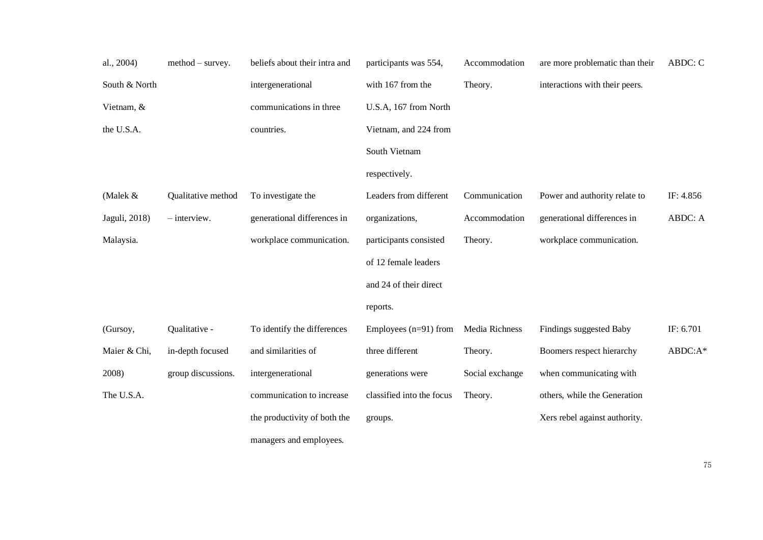| al., 2004)    | $method - survey.$ | beliefs about their intra and | participants was 554,     | Accommodation   | are more problematic than their | ABDC: C   |
|---------------|--------------------|-------------------------------|---------------------------|-----------------|---------------------------------|-----------|
| South & North |                    | intergenerational             | with 167 from the         | Theory.         | interactions with their peers.  |           |
| Vietnam, &    |                    | communications in three       | U.S.A, 167 from North     |                 |                                 |           |
| the U.S.A.    |                    | countries.                    | Vietnam, and 224 from     |                 |                                 |           |
|               |                    |                               | South Vietnam             |                 |                                 |           |
|               |                    |                               | respectively.             |                 |                                 |           |
| (Malek &      | Qualitative method | To investigate the            | Leaders from different    | Communication   | Power and authority relate to   | IF: 4.856 |
| Jaguli, 2018) | $-$ interview.     | generational differences in   | organizations,            | Accommodation   | generational differences in     | ABDC: A   |
| Malaysia.     |                    | workplace communication.      | participants consisted    | Theory.         | workplace communication.        |           |
|               |                    |                               | of 12 female leaders      |                 |                                 |           |
|               |                    |                               | and 24 of their direct    |                 |                                 |           |
|               |                    |                               | reports.                  |                 |                                 |           |
| (Gursoy,      | Qualitative -      | To identify the differences   | Employees $(n=91)$ from   | Media Richness  | Findings suggested Baby         | IF: 6.701 |
| Maier & Chi,  | in-depth focused   | and similarities of           | three different           | Theory.         | Boomers respect hierarchy       | ABDC:A*   |
| 2008)         | group discussions. | intergenerational             | generations were          | Social exchange | when communicating with         |           |
| The U.S.A.    |                    | communication to increase     | classified into the focus | Theory.         | others, while the Generation    |           |
|               |                    | the productivity of both the  | groups.                   |                 | Xers rebel against authority.   |           |
|               |                    | managers and employees.       |                           |                 |                                 |           |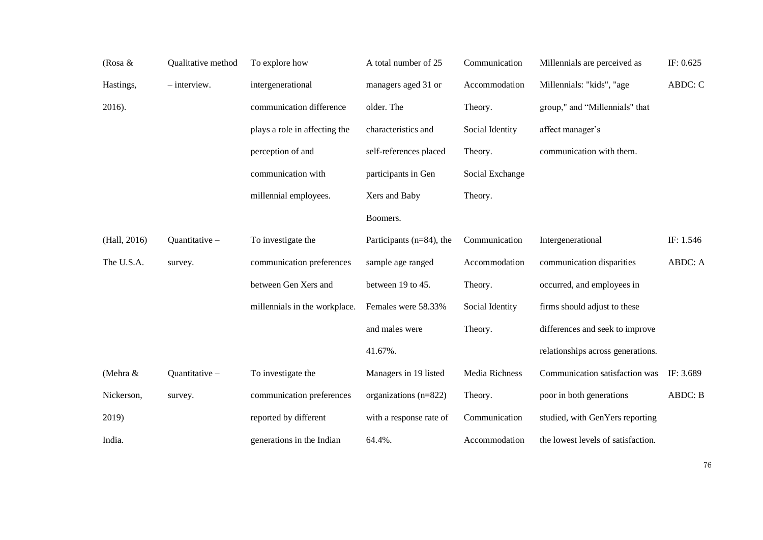| (Rosa &      | Qualitative method | To explore how                | A total number of 25         | Communication   | Millennials are perceived as       | IF: 0.625      |
|--------------|--------------------|-------------------------------|------------------------------|-----------------|------------------------------------|----------------|
| Hastings,    | $-$ interview.     | intergenerational             | managers aged 31 or          | Accommodation   | Millennials: "kids", "age          | ABDC: C        |
| 2016).       |                    | communication difference      | older. The                   | Theory.         | group," and "Millennials" that     |                |
|              |                    | plays a role in affecting the | characteristics and          | Social Identity | affect manager's                   |                |
|              |                    | perception of and             | self-references placed       | Theory.         | communication with them.           |                |
|              |                    | communication with            | participants in Gen          | Social Exchange |                                    |                |
|              |                    | millennial employees.         | Xers and Baby                | Theory.         |                                    |                |
|              |                    |                               | Boomers.                     |                 |                                    |                |
| (Hall, 2016) | Quantitative-      | To investigate the            | Participants ( $n=84$ ), the | Communication   | Intergenerational                  | IF: 1.546      |
| The U.S.A.   | survey.            | communication preferences     | sample age ranged            | Accommodation   | communication disparities          | ABDC: A        |
|              |                    | between Gen Xers and          | between 19 to 45.            | Theory.         | occurred, and employees in         |                |
|              |                    | millennials in the workplace. | Females were 58.33%          | Social Identity | firms should adjust to these       |                |
|              |                    |                               | and males were               | Theory.         | differences and seek to improve    |                |
|              |                    |                               | 41.67%.                      |                 | relationships across generations.  |                |
| (Mehra &     | Quantitative-      | To investigate the            | Managers in 19 listed        | Media Richness  | Communication satisfaction was     | IF: 3.689      |
| Nickerson,   | survey.            | communication preferences     | organizations $(n=822)$      | Theory.         | poor in both generations           | <b>ABDC: B</b> |
| 2019)        |                    | reported by different         | with a response rate of      | Communication   | studied, with GenYers reporting    |                |
| India.       |                    | generations in the Indian     | 64.4%.                       | Accommodation   | the lowest levels of satisfaction. |                |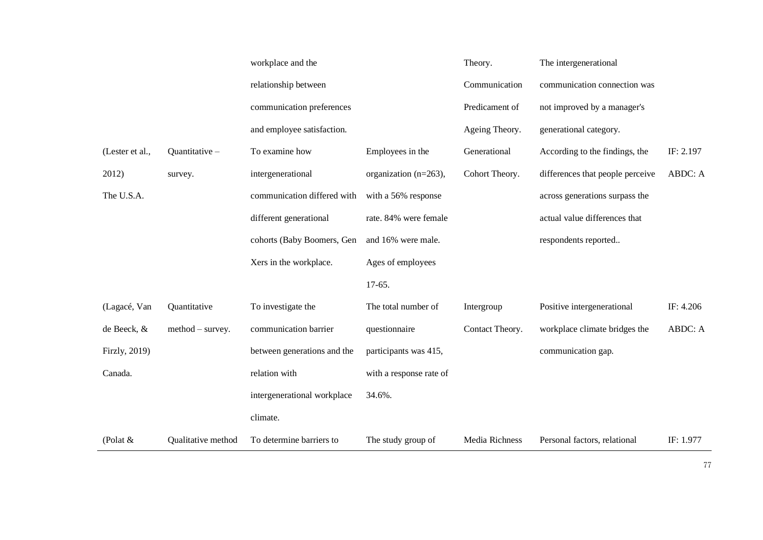|                 |                    | workplace and the           |                          | Theory.         | The intergenerational            |           |
|-----------------|--------------------|-----------------------------|--------------------------|-----------------|----------------------------------|-----------|
|                 |                    | relationship between        |                          | Communication   | communication connection was     |           |
|                 |                    | communication preferences   |                          | Predicament of  | not improved by a manager's      |           |
|                 |                    | and employee satisfaction.  |                          | Ageing Theory.  | generational category.           |           |
| (Lester et al., | Quantitative-      | To examine how              | Employees in the         | Generational    | According to the findings, the   | IF: 2.197 |
| 2012)           | survey.            | intergenerational           | organization $(n=263)$ , | Cohort Theory.  | differences that people perceive | ABDC: A   |
| The U.S.A.      |                    | communication differed with | with a 56% response      |                 | across generations surpass the   |           |
|                 |                    | different generational      | rate. 84% were female    |                 | actual value differences that    |           |
|                 |                    | cohorts (Baby Boomers, Gen  | and 16% were male.       |                 | respondents reported             |           |
|                 |                    | Xers in the workplace.      | Ages of employees        |                 |                                  |           |
|                 |                    |                             |                          |                 |                                  |           |
|                 |                    |                             | $17-65.$                 |                 |                                  |           |
| (Lagacé, Van    | Quantitative       | To investigate the          | The total number of      | Intergroup      | Positive intergenerational       | IF: 4.206 |
| de Beeck, &     | $method - survey.$ | communication barrier       | questionnaire            | Contact Theory. | workplace climate bridges the    | ABDC: A   |
| Firzly, 2019)   |                    | between generations and the | participants was 415,    |                 | communication gap.               |           |
| Canada.         |                    | relation with               | with a response rate of  |                 |                                  |           |
|                 |                    | intergenerational workplace | 34.6%.                   |                 |                                  |           |
|                 |                    | climate.                    |                          |                 |                                  |           |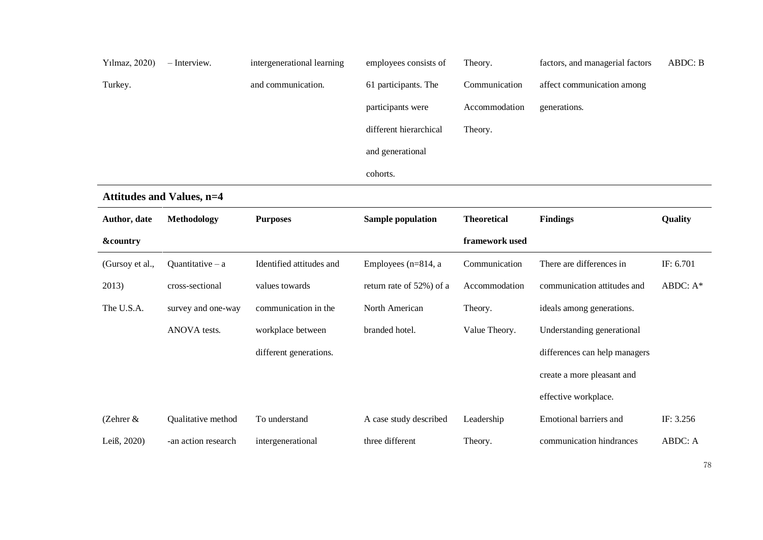| Yılmaz, 2020)       | - Interview.                     | intergenerational learning | employees consists of    | Theory.            | factors, and managerial factors | <b>ABDC: B</b> |
|---------------------|----------------------------------|----------------------------|--------------------------|--------------------|---------------------------------|----------------|
| Turkey.             |                                  | and communication.         | 61 participants. The     | Communication      | affect communication among      |                |
|                     |                                  |                            | participants were        | Accommodation      | generations.                    |                |
|                     |                                  |                            | different hierarchical   | Theory.            |                                 |                |
|                     |                                  |                            | and generational         |                    |                                 |                |
|                     |                                  |                            | cohorts.                 |                    |                                 |                |
|                     | <b>Attitudes and Values, n=4</b> |                            |                          |                    |                                 |                |
| Author, date        | <b>Methodology</b>               | <b>Purposes</b>            | <b>Sample population</b> | <b>Theoretical</b> | <b>Findings</b>                 | Quality        |
| <b>&amp;country</b> |                                  |                            |                          | framework used     |                                 |                |
| (Gursoy et al.,     | Quantitative $-$ a               | Identified attitudes and   | Employees ( $n=814$ , a  | Communication      | There are differences in        | IF: 6.701      |
| 2013)               | cross-sectional                  | values towards             | return rate of 52%) of a | Accommodation      | communication attitudes and     | ABDC: A*       |
| The U.S.A.          | survey and one-way               | communication in the       | North American           | Theory.            | ideals among generations.       |                |
|                     | ANOVA tests.                     | workplace between          | branded hotel.           | Value Theory.      | Understanding generational      |                |
|                     |                                  | different generations.     |                          |                    | differences can help managers   |                |
|                     |                                  |                            |                          |                    | create a more pleasant and      |                |
|                     |                                  |                            |                          |                    | effective workplace.            |                |
| (Zehrer $&$         | Qualitative method               | To understand              | A case study described   | Leadership         | Emotional barriers and          | IF: 3.256      |
| Leiß, 2020)         | -an action research              | intergenerational          | three different          | Theory.            | communication hindrances        | ABDC: A        |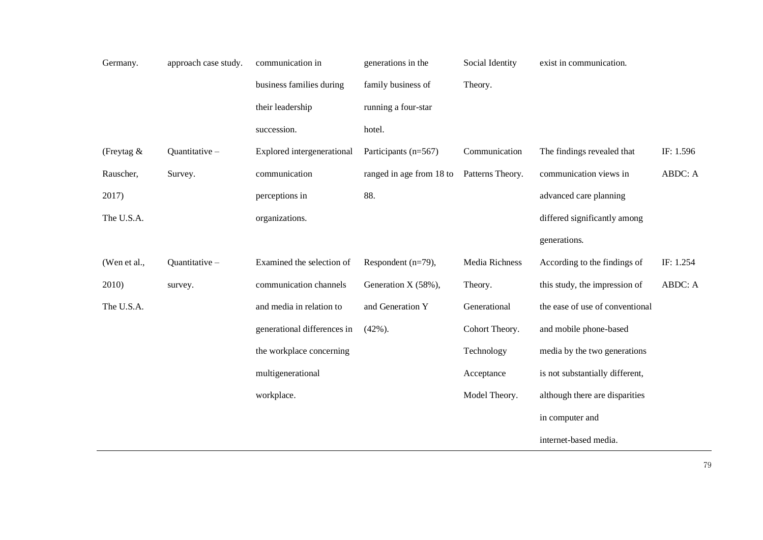| Germany.      | approach case study. | communication in            | generations in the            | Social Identity  | exist in communication.         |           |
|---------------|----------------------|-----------------------------|-------------------------------|------------------|---------------------------------|-----------|
|               |                      | business families during    | family business of<br>Theory. |                  |                                 |           |
|               |                      | their leadership            | running a four-star           |                  |                                 |           |
|               |                      | succession.                 | hotel.                        |                  |                                 |           |
| (Freytag $\&$ | Quantitative-        | Explored intergenerational  | Participants (n=567)          | Communication    | The findings revealed that      | IF: 1.596 |
| Rauscher,     | Survey.              | communication               | ranged in age from 18 to      | Patterns Theory. | communication views in          | ABDC: A   |
| 2017)         |                      | perceptions in              | 88.                           |                  | advanced care planning          |           |
| The U.S.A.    |                      | organizations.              |                               |                  | differed significantly among    |           |
|               |                      |                             |                               |                  | generations.                    |           |
| (Wen et al.,  | Quantitative-        | Examined the selection of   | Respondent (n=79),            | Media Richness   | According to the findings of    | IF: 1.254 |
| 2010)         | survey.              | communication channels      | Generation X (58%),           | Theory.          | this study, the impression of   | ABDC: A   |
| The U.S.A.    |                      | and media in relation to    | and Generation Y              | Generational     | the ease of use of conventional |           |
|               |                      | generational differences in | $(42\%)$ .                    | Cohort Theory.   | and mobile phone-based          |           |
|               |                      | the workplace concerning    |                               | Technology       | media by the two generations    |           |
|               |                      | multigenerational           |                               | Acceptance       | is not substantially different, |           |
|               |                      | workplace.                  |                               | Model Theory.    | although there are disparities  |           |
|               |                      |                             |                               |                  | in computer and                 |           |
|               |                      |                             |                               |                  | internet-based media.           |           |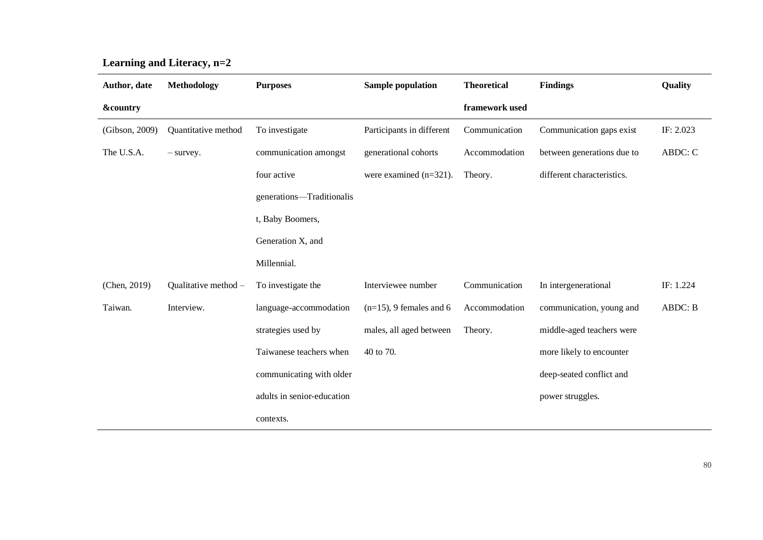| Author, date        | Methodology          | <b>Purposes</b>            | <b>Sample population</b>   | <b>Theoretical</b> | <b>Findings</b>            | Quality   |
|---------------------|----------------------|----------------------------|----------------------------|--------------------|----------------------------|-----------|
| <b>&amp;country</b> |                      |                            |                            | framework used     |                            |           |
| (Gibson, 2009)      | Quantitative method  | To investigate             | Participants in different  | Communication      | Communication gaps exist   | IF: 2.023 |
| The U.S.A.          | - survey.            | communication amongst      | generational cohorts       | Accommodation      | between generations due to | ABDC: C   |
|                     |                      | four active                | were examined $(n=321)$ .  | Theory.            | different characteristics. |           |
|                     |                      | generations-Traditionalis  |                            |                    |                            |           |
|                     |                      | t, Baby Boomers,           |                            |                    |                            |           |
|                     |                      | Generation X, and          |                            |                    |                            |           |
|                     |                      | Millennial.                |                            |                    |                            |           |
| (Chen, 2019)        | Qualitative method - | To investigate the         | Interviewee number         | Communication      | In intergenerational       | IF: 1.224 |
| Taiwan.             | Interview.           | language-accommodation     | $(n=15)$ , 9 females and 6 | Accommodation      | communication, young and   | ABDC: B   |
|                     |                      | strategies used by         | males, all aged between    | Theory.            | middle-aged teachers were  |           |
|                     |                      | Taiwanese teachers when    | 40 to 70.                  |                    | more likely to encounter   |           |
|                     |                      | communicating with older   |                            |                    | deep-seated conflict and   |           |
|                     |                      | adults in senior-education |                            |                    | power struggles.           |           |
|                     |                      | contexts.                  |                            |                    |                            |           |

**Learning and Literacy, n=2**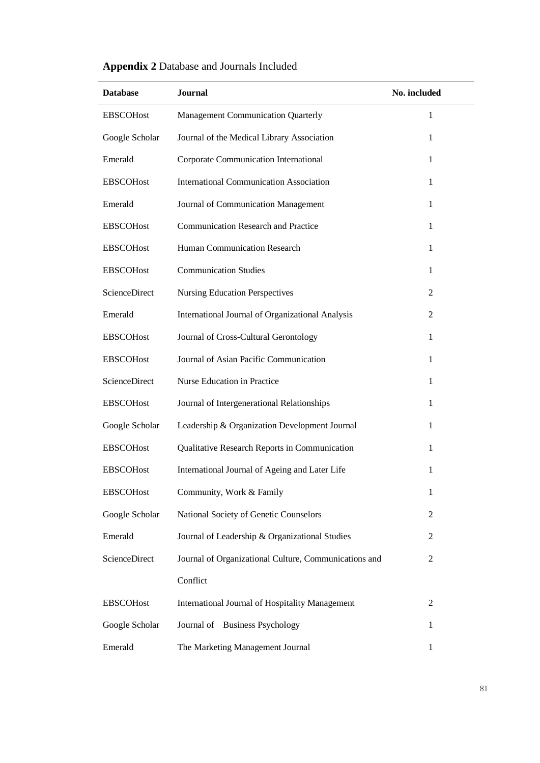| <b>Database</b>  | Journal                                                | No. included   |
|------------------|--------------------------------------------------------|----------------|
| <b>EBSCOHost</b> | Management Communication Quarterly                     | 1              |
| Google Scholar   | Journal of the Medical Library Association             | 1              |
| Emerald          | Corporate Communication International                  | 1              |
| <b>EBSCOHost</b> | <b>International Communication Association</b>         | $\mathbf{1}$   |
| Emerald          | Journal of Communication Management                    | $\mathbf{1}$   |
| <b>EBSCOHost</b> | <b>Communication Research and Practice</b>             | $\mathbf{1}$   |
| <b>EBSCOHost</b> | Human Communication Research                           | $\mathbf{1}$   |
| <b>EBSCOHost</b> | <b>Communication Studies</b>                           | 1              |
| ScienceDirect    | <b>Nursing Education Perspectives</b>                  | $\overline{2}$ |
| Emerald          | International Journal of Organizational Analysis       | 2              |
| <b>EBSCOHost</b> | Journal of Cross-Cultural Gerontology                  | $\mathbf{1}$   |
| <b>EBSCOHost</b> | Journal of Asian Pacific Communication                 | 1              |
| ScienceDirect    | Nurse Education in Practice                            | 1              |
| <b>EBSCOHost</b> | Journal of Intergenerational Relationships             | 1              |
| Google Scholar   | Leadership & Organization Development Journal          | 1              |
| <b>EBSCOHost</b> | Qualitative Research Reports in Communication          | 1              |
| <b>EBSCOHost</b> | International Journal of Ageing and Later Life         | 1              |
| <b>EBSCOHost</b> | Community, Work & Family                               | $\mathbf{1}$   |
| Google Scholar   | National Society of Genetic Counselors                 | 2              |
| Emerald          | Journal of Leadership & Organizational Studies         | $\overline{c}$ |
| ScienceDirect    | Journal of Organizational Culture, Communications and  | $\overline{c}$ |
|                  | Conflict                                               |                |
| <b>EBSCOHost</b> | <b>International Journal of Hospitality Management</b> | $\overline{c}$ |
| Google Scholar   | Journal of Business Psychology                         | $\mathbf{1}$   |
| Emerald          | The Marketing Management Journal                       | 1              |

## **Appendix 2** Database and Journals Included